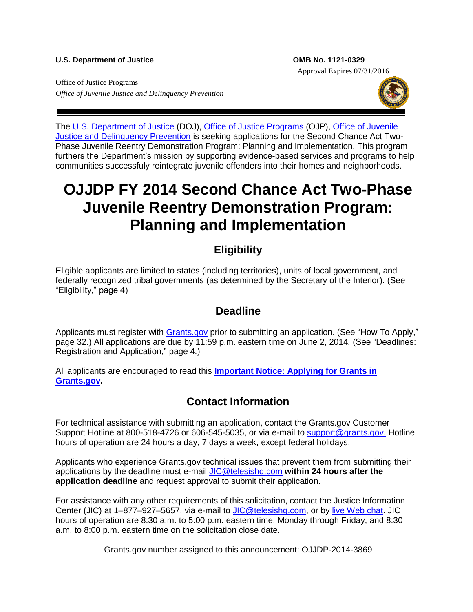#### U.S. Department of Justice **COMB No. 1121-0329**

Approval Expires 07/31/2016

Office of Justice Programs *Office of Juvenile Justice and Delinquency Prevention*



The [U.S. Department of Justice](http://www.usdoj.gov/) (DOJ), [Office of Justice Programs](http://www.ojp.usdoj.gov/) (OJP), Office of Juvenile [Justice and Delinquency Prevention](http://www.ojjdp.gov/) is seeking applications for the Second Chance Act Two-Phase Juvenile Reentry Demonstration Program: Planning and Implementation. This program furthers the Department's mission by supporting evidence-based services and programs to help communities successfuly reintegrate juvenile offenders into their homes and neighborhoods.

# **OJJDP FY 2014 Second Chance Act Two-Phase Juvenile Reentry Demonstration Program: Planning and Implementation**

# **Eligibility**

Eligible applicants are limited to states (including territories), units of local government, and federally recognized tribal governments (as determined by the Secretary of the Interior). (See "Eligibility," page 4)

### **Deadline**

Applicants must register with [Grants.gov](http://www.grants.gov/applicants/apply_for_grants.jsp) prior to submitting an application. (See "How To Apply," page 32.) All applications are due by 11:59 p.m. eastern time on June 2, 2014*.* (See "Deadlines: Registration and Application," page 4*.*)

All applicants are encouraged to read this **[Important Notice: Applying for Grants in](http://www.ojp.usdoj.gov/funding/grantsgov_information.htm)  [Grants.gov.](http://www.ojp.usdoj.gov/funding/grantsgov_information.htm)**

## **Contact Information**

For technical assistance with submitting an application, contact the Grants.gov Customer Support Hotline at 800-518-4726 or 606-545-5035, or via e-mail to [support@grants.gov.](mailto:support@grants.gov) Hotline hours of operation are 24 hours a day, 7 days a week, except federal holidays.

Applicants who experience Grants.gov technical issues that prevent them from submitting their applications by the deadline must e-mail [JIC@telesishq.com](mailto:JIC@telesishq.com) **within 24 hours after the application deadline** and request approval to submit their application.

For assistance with any other requirements of this solicitation, contact the Justice Information Center (JIC) at 1–877–927–5657, via e-mail to [JIC@telesishq.com,](mailto:JIC@telesishq.com) or by [live Web chat.](http://www.justiceinformationcenter.us/) JIC hours of operation are 8:30 a.m. to 5:00 p.m. eastern time, Monday through Friday, and 8:30 a.m. to 8:00 p.m. eastern time on the solicitation close date.

Grants.gov number assigned to this announcement: OJJDP-2014-3869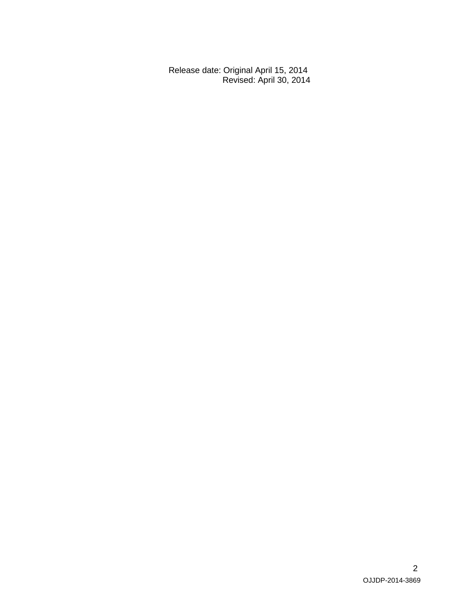Release date: Original April 15, 2014 Revised: April 30, 2014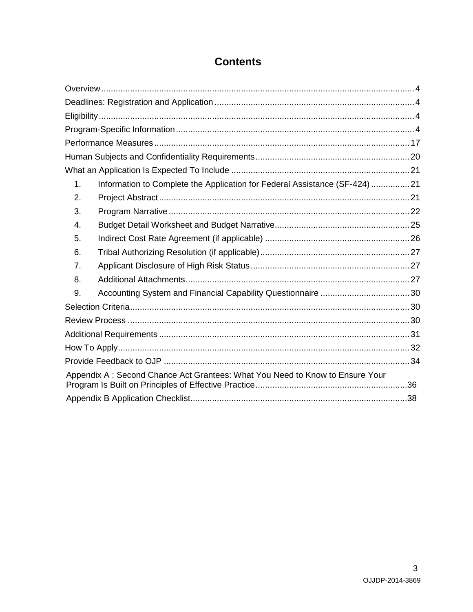| 1. | Information to Complete the Application for Federal Assistance (SF-424) 21    |  |  |  |
|----|-------------------------------------------------------------------------------|--|--|--|
| 2. |                                                                               |  |  |  |
| 3. |                                                                               |  |  |  |
| 4. |                                                                               |  |  |  |
| 5. |                                                                               |  |  |  |
| 6. |                                                                               |  |  |  |
| 7. |                                                                               |  |  |  |
| 8. |                                                                               |  |  |  |
| 9. |                                                                               |  |  |  |
|    |                                                                               |  |  |  |
|    |                                                                               |  |  |  |
|    |                                                                               |  |  |  |
|    |                                                                               |  |  |  |
|    |                                                                               |  |  |  |
|    | Appendix A : Second Chance Act Grantees: What You Need to Know to Ensure Your |  |  |  |
|    |                                                                               |  |  |  |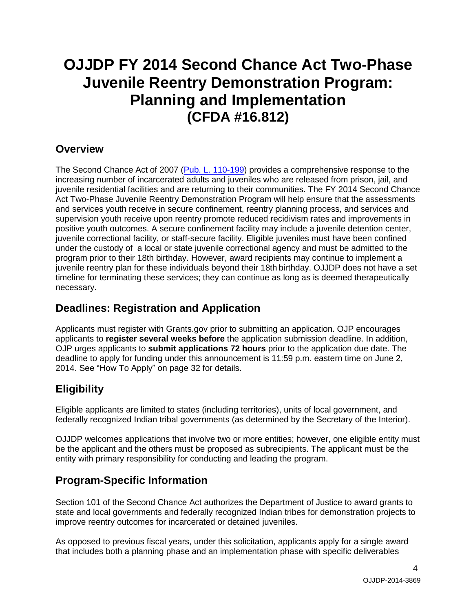# **OJJDP FY 2014 Second Chance Act Two-Phase Juvenile Reentry Demonstration Program: Planning and Implementation (CFDA #16.812)**

### <span id="page-3-0"></span>**Overview**

The Second Chance Act of 2007 [\(Pub. L. 110-199\)](http://www.fedcure.org/documents/SecondChanceAct-of-2007PubLaw110-199.pdf) provides a comprehensive response to the increasing number of incarcerated adults and juveniles who are released from prison, jail, and juvenile residential facilities and are returning to their communities. The FY 2014 Second Chance Act Two-Phase Juvenile Reentry Demonstration Program will help ensure that the assessments and services youth receive in secure confinement, reentry planning process, and services and supervision youth receive upon reentry promote reduced recidivism rates and improvements in positive youth outcomes. A secure confinement facility may include a juvenile detention center, juvenile correctional facility, or staff-secure facility. Eligible juveniles must have been confined under the custody of a local or state juvenile correctional agency and must be admitted to the program prior to their 18th birthday. However, award recipients may continue to implement a juvenile reentry plan for these individuals beyond their 18th birthday. OJJDP does not have a set timeline for terminating these services; they can continue as long as is deemed therapeutically necessary.

## <span id="page-3-1"></span>**Deadlines: Registration and Application**

Applicants must register with Grants.gov prior to submitting an application. OJP encourages applicants to **register several weeks before** the application submission deadline. In addition, OJP urges applicants to **submit applications 72 hours** prior to the application due date. The deadline to apply for funding under this announcement is 11:59 p.m*.* eastern time on June 2, 2014. See "How To Apply" on page 32 for details.

## <span id="page-3-2"></span>**Eligibility**

Eligible applicants are limited to states (including territories), units of local government, and federally recognized Indian tribal governments (as determined by the Secretary of the Interior).

OJJDP welcomes applications that involve two or more entities; however, one eligible entity must be the applicant and the others must be proposed as subrecipients. The applicant must be the entity with primary responsibility for conducting and leading the program.

## <span id="page-3-3"></span>**Program-Specific Information**

Section 101 of the Second Chance Act authorizes the Department of Justice to award grants to state and local governments and federally recognized Indian tribes for demonstration projects to improve reentry outcomes for incarcerated or detained juveniles.

As opposed to previous fiscal years, under this solicitation, applicants apply for a single award that includes both a planning phase and an implementation phase with specific deliverables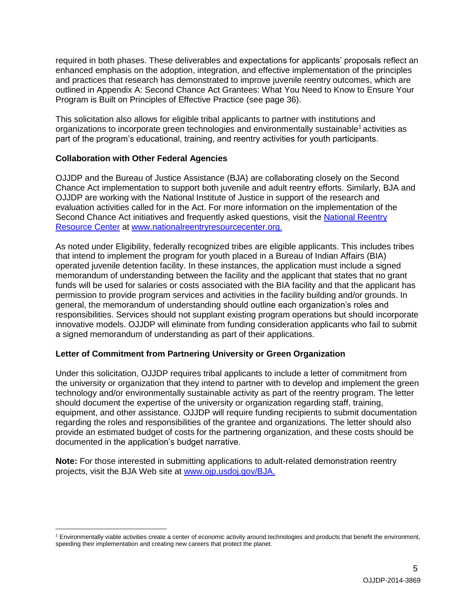required in both phases. These deliverables and expectations for applicants' proposals reflect an enhanced emphasis on the adoption, integration, and effective implementation of the principles and practices that research has demonstrated to improve juvenile reentry outcomes, which are outlined in Appendix A: Second Chance Act Grantees: What You Need to Know to Ensure Your Program is Built on Principles of Effective Practice (see page 36).

This solicitation also allows for eligible tribal applicants to partner with institutions and organizations to incorporate green technologies and environmentally sustainable<sup>1</sup> activities as part of the program's educational, training, and reentry activities for youth participants.

### **Collaboration with Other Federal Agencies**

OJJDP and the Bureau of Justice Assistance (BJA) are collaborating closely on the Second Chance Act implementation to support both juvenile and adult reentry efforts. Similarly, BJA and OJJDP are working with the National Institute of Justice in support of the research and evaluation activities called for in the Act. For more information on the implementation of the Second Chance Act initiatives and frequently asked questions, visit the National Reentry [Resource Center](http://www.nationalreentryresourcecenter.org/) at [www.nationalreentryresourcecenter.org.](http://www.nationalreentryresourcecenter.org/)

As noted under Eligibility, federally recognized tribes are eligible applicants. This includes tribes that intend to implement the program for youth placed in a Bureau of Indian Affairs (BIA) operated juvenile detention facility. In these instances, the application must include a signed memorandum of understanding between the facility and the applicant that states that no grant funds will be used for salaries or costs associated with the BIA facility and that the applicant has permission to provide program services and activities in the facility building and/or grounds. In general, the memorandum of understanding should outline each organization's roles and responsibilities. Services should not supplant existing program operations but should incorporate innovative models. OJJDP will eliminate from funding consideration applicants who fail to submit a signed memorandum of understanding as part of their applications.

### **Letter of Commitment from Partnering University or Green Organization**

Under this solicitation, OJJDP requires tribal applicants to include a letter of commitment from the university or organization that they intend to partner with to develop and implement the green technology and/or environmentally sustainable activity as part of the reentry program. The letter should document the expertise of the university or organization regarding staff, training, equipment, and other assistance. OJJDP will require funding recipients to submit documentation regarding the roles and responsibilities of the grantee and organizations. The letter should also provide an estimated budget of costs for the partnering organization, and these costs should be documented in the application's budget narrative.

**Note:** For those interested in submitting applications to adult-related demonstration reentry projects, visit the BJA Web site at [www.ojp.usdoj.gov/BJA.](http://ojpnet.ojp.doj.gov/sites/solicitations/ojjdp_2/Documents/www.ojp.usdoj.gov/BJA)

 $\overline{a}$ <sup>1</sup> Environmentally viable activities create a center of economic activity around technologies and products that benefit the environment, speeding their implementation and creating new careers that protect the planet.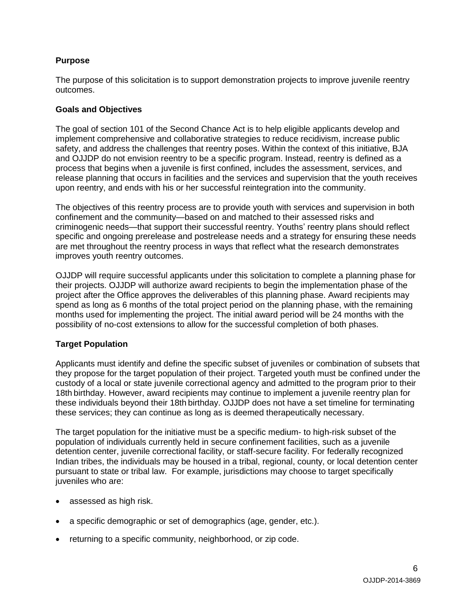### **Purpose**

The purpose of this solicitation is to support demonstration projects to improve juvenile reentry outcomes.

### **Goals and Objectives**

The goal of section 101 of the Second Chance Act is to help eligible applicants develop and implement comprehensive and collaborative strategies to reduce recidivism, increase public safety, and address the challenges that reentry poses. Within the context of this initiative, BJA and OJJDP do not envision reentry to be a specific program. Instead, reentry is defined as a process that begins when a juvenile is first confined, includes the assessment, services, and release planning that occurs in facilities and the services and supervision that the youth receives upon reentry, and ends with his or her successful reintegration into the community.

The objectives of this reentry process are to provide youth with services and supervision in both confinement and the community—based on and matched to their assessed risks and criminogenic needs—that support their successful reentry. Youths' reentry plans should reflect specific and ongoing prerelease and postrelease needs and a strategy for ensuring these needs are met throughout the reentry process in ways that reflect what the research demonstrates improves youth reentry outcomes.

OJJDP will require successful applicants under this solicitation to complete a planning phase for their projects. OJJDP will authorize award recipients to begin the implementation phase of the project after the Office approves the deliverables of this planning phase. Award recipients may spend as long as 6 months of the total project period on the planning phase, with the remaining months used for implementing the project. The initial award period will be 24 months with the possibility of no-cost extensions to allow for the successful completion of both phases.

### **Target Population**

Applicants must identify and define the specific subset of juveniles or combination of subsets that they propose for the target population of their project. Targeted youth must be confined under the custody of a local or state juvenile correctional agency and admitted to the program prior to their 18th birthday. However, award recipients may continue to implement a juvenile reentry plan for these individuals beyond their 18th birthday. OJJDP does not have a set timeline for terminating these services; they can continue as long as is deemed therapeutically necessary.

The target population for the initiative must be a specific medium- to high-risk subset of the population of individuals currently held in secure confinement facilities, such as a juvenile detention center, juvenile correctional facility, or staff-secure facility. For federally recognized Indian tribes, the individuals may be housed in a tribal, regional, county, or local detention center pursuant to state or tribal law. For example, jurisdictions may choose to target specifically juveniles who are:

- assessed as high risk.
- a specific demographic or set of demographics (age, gender, etc.).
- returning to a specific community, neighborhood, or zip code.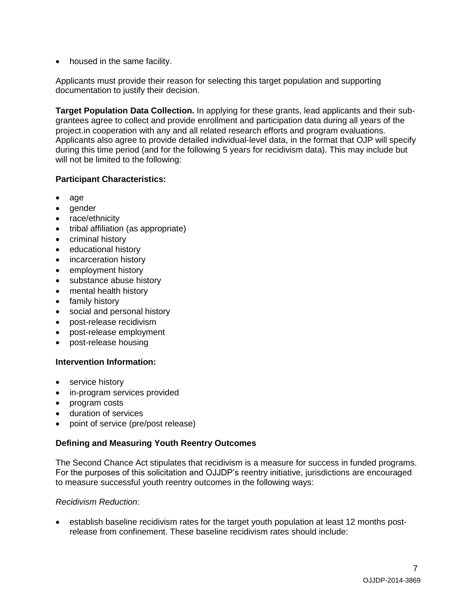• housed in the same facility.

Applicants must provide their reason for selecting this target population and supporting documentation to justify their decision.

**Target Population Data Collection.** In applying for these grants, lead applicants and their subgrantees agree to collect and provide enrollment and participation data during all years of the project.in cooperation with any and all related research efforts and program evaluations. Applicants also agree to provide detailed individual-level data, in the format that OJP will specify during this time period (and for the following 5 years for recidivism data). This may include but will not be limited to the following:

### **Participant Characteristics:**

- age
- gender
- race/ethnicity
- tribal affiliation (as appropriate)
- criminal history
- educational history
- incarceration history
- employment history
- substance abuse history
- mental health history
- family history
- social and personal history
- post-release recidivism
- post-release employment
- post-release housing

### **Intervention Information:**

- service history
- in-program services provided
- program costs
- duration of services
- point of service (pre/post release)

### **Defining and Measuring Youth Reentry Outcomes**

The Second Chance Act stipulates that recidivism is a measure for success in funded programs. For the purposes of this solicitation and OJJDP's reentry initiative, jurisdictions are encouraged to measure successful youth reentry outcomes in the following ways:

### *Recidivism Reduction*:

 establish baseline recidivism rates for the target youth population at least 12 months postrelease from confinement. These baseline recidivism rates should include: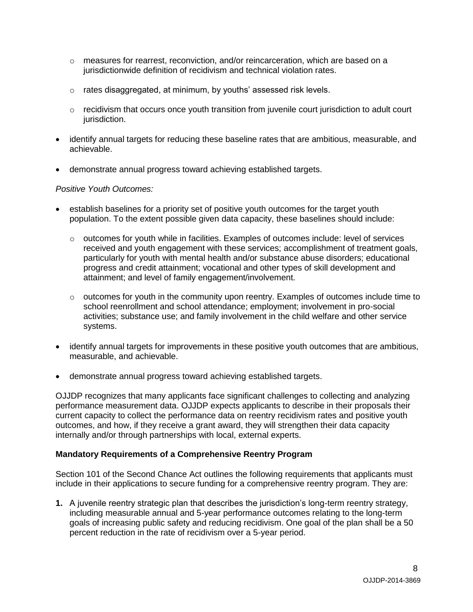- $\circ$  measures for rearrest, reconviction, and/or reincarceration, which are based on a jurisdictionwide definition of recidivism and technical violation rates.
- o rates disaggregated, at minimum, by youths' assessed risk levels.
- $\circ$  recidivism that occurs once youth transition from juvenile court jurisdiction to adult court jurisdiction.
- identify annual targets for reducing these baseline rates that are ambitious, measurable, and achievable.
- demonstrate annual progress toward achieving established targets.

### *Positive Youth Outcomes:*

- establish baselines for a priority set of positive youth outcomes for the target youth population. To the extent possible given data capacity, these baselines should include:
	- $\circ$  outcomes for youth while in facilities. Examples of outcomes include: level of services received and youth engagement with these services; accomplishment of treatment goals, particularly for youth with mental health and/or substance abuse disorders; educational progress and credit attainment; vocational and other types of skill development and attainment; and level of family engagement/involvement.
	- $\circ$  outcomes for youth in the community upon reentry. Examples of outcomes include time to school reenrollment and school attendance; employment; involvement in pro-social activities; substance use; and family involvement in the child welfare and other service systems.
- identify annual targets for improvements in these positive youth outcomes that are ambitious, measurable, and achievable.
- demonstrate annual progress toward achieving established targets.

OJJDP recognizes that many applicants face significant challenges to collecting and analyzing performance measurement data. OJJDP expects applicants to describe in their proposals their current capacity to collect the performance data on reentry recidivism rates and positive youth outcomes, and how, if they receive a grant award, they will strengthen their data capacity internally and/or through partnerships with local, external experts.

### **Mandatory Requirements of a Comprehensive Reentry Program**

Section 101 of the Second Chance Act outlines the following requirements that applicants must include in their applications to secure funding for a comprehensive reentry program. They are:

**1.** A juvenile reentry strategic plan that describes the jurisdiction's long-term reentry strategy, including measurable annual and 5-year performance outcomes relating to the long-term goals of increasing public safety and reducing recidivism. One goal of the plan shall be a 50 percent reduction in the rate of recidivism over a 5-year period.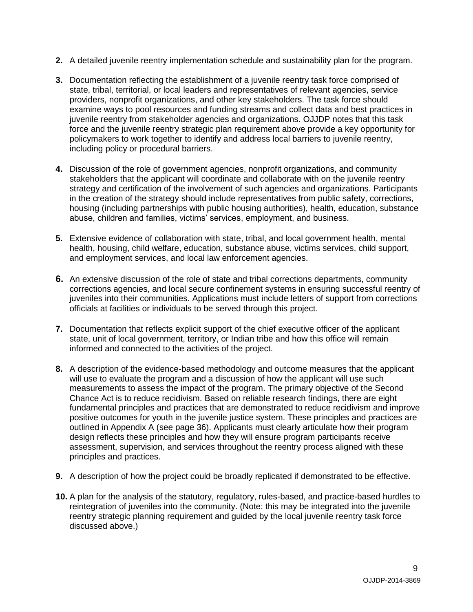- **2.** A detailed juvenile reentry implementation schedule and sustainability plan for the program.
- **3.** Documentation reflecting the establishment of a juvenile reentry task force comprised of state, tribal, territorial, or local leaders and representatives of relevant agencies, service providers, nonprofit organizations, and other key stakeholders. The task force should examine ways to pool resources and funding streams and collect data and best practices in juvenile reentry from stakeholder agencies and organizations. OJJDP notes that this task force and the juvenile reentry strategic plan requirement above provide a key opportunity for policymakers to work together to identify and address local barriers to juvenile reentry, including policy or procedural barriers.
- **4.** Discussion of the role of government agencies, nonprofit organizations, and community stakeholders that the applicant will coordinate and collaborate with on the juvenile reentry strategy and certification of the involvement of such agencies and organizations. Participants in the creation of the strategy should include representatives from public safety, corrections, housing (including partnerships with public housing authorities), health, education, substance abuse, children and families, victims' services, employment, and business.
- **5.** Extensive evidence of collaboration with state, tribal, and local government health, mental health, housing, child welfare, education, substance abuse, victims services, child support, and employment services, and local law enforcement agencies.
- **6.** An extensive discussion of the role of state and tribal corrections departments, community corrections agencies, and local secure confinement systems in ensuring successful reentry of juveniles into their communities. Applications must include letters of support from corrections officials at facilities or individuals to be served through this project.
- **7.** Documentation that reflects explicit support of the chief executive officer of the applicant state, unit of local government, territory, or Indian tribe and how this office will remain informed and connected to the activities of the project.
- **8.** A description of the evidence-based methodology and outcome measures that the applicant will use to evaluate the program and a discussion of how the applicant will use such measurements to assess the impact of the program. The primary objective of the Second Chance Act is to reduce recidivism. Based on reliable research findings, there are eight fundamental principles and practices that are demonstrated to reduce recidivism and improve positive outcomes for youth in the juvenile justice system. These principles and practices are outlined in Appendix A (see page 36). Applicants must clearly articulate how their program design reflects these principles and how they will ensure program participants receive assessment, supervision, and services throughout the reentry process aligned with these principles and practices.
- **9.** A description of how the project could be broadly replicated if demonstrated to be effective.
- **10.** A plan for the analysis of the statutory, regulatory, rules-based, and practice-based hurdles to reintegration of juveniles into the community. (Note: this may be integrated into the juvenile reentry strategic planning requirement and guided by the local juvenile reentry task force discussed above.)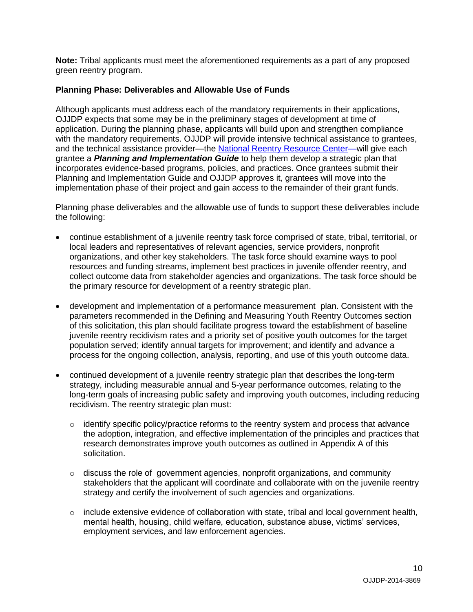**Note:** Tribal applicants must meet the aforementioned requirements as a part of any proposed green reentry program.

### **Planning Phase: Deliverables and Allowable Use of Funds**

Although applicants must address each of the mandatory requirements in their applications, OJJDP expects that some may be in the preliminary stages of development at time of application. During the planning phase, applicants will build upon and strengthen compliance with the mandatory requirements. OJJDP will provide intensive technical assistance to grantees, and the technical assistance provider—the [National Reentry Resource Center—](http://csgjusticecenter.org/jc/category/reentry/nrrc/)will give each grantee a *Planning and Implementation Guide* to help them develop a strategic plan that incorporates evidence-based programs, policies, and practices. Once grantees submit their Planning and Implementation Guide and OJJDP approves it, grantees will move into the implementation phase of their project and gain access to the remainder of their grant funds.

Planning phase deliverables and the allowable use of funds to support these deliverables include the following:

- continue establishment of a juvenile reentry task force comprised of state, tribal, territorial, or local leaders and representatives of relevant agencies, service providers, nonprofit organizations, and other key stakeholders. The task force should examine ways to pool resources and funding streams, implement best practices in juvenile offender reentry, and collect outcome data from stakeholder agencies and organizations. The task force should be the primary resource for development of a reentry strategic plan.
- development and implementation of a performance measurement plan. Consistent with the parameters recommended in the Defining and Measuring Youth Reentry Outcomes section of this solicitation, this plan should facilitate progress toward the establishment of baseline juvenile reentry recidivism rates and a priority set of positive youth outcomes for the target population served; identify annual targets for improvement; and identify and advance a process for the ongoing collection, analysis, reporting, and use of this youth outcome data.
- continued development of a juvenile reentry strategic plan that describes the long-term strategy, including measurable annual and 5-year performance outcomes, relating to the long-term goals of increasing public safety and improving youth outcomes, including reducing recidivism. The reentry strategic plan must:
	- $\circ$  identify specific policy/practice reforms to the reentry system and process that advance the adoption, integration, and effective implementation of the principles and practices that research demonstrates improve youth outcomes as outlined in Appendix A of this solicitation.
	- $\circ$  discuss the role of government agencies, nonprofit organizations, and community stakeholders that the applicant will coordinate and collaborate with on the juvenile reentry strategy and certify the involvement of such agencies and organizations.
	- o include extensive evidence of collaboration with state, tribal and local government health, mental health, housing, child welfare, education, substance abuse, victims' services, employment services, and law enforcement agencies.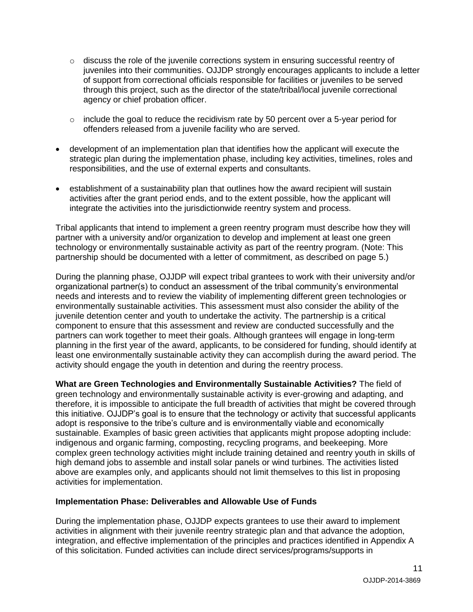- $\circ$  discuss the role of the juvenile corrections system in ensuring successful reentry of juveniles into their communities. OJJDP strongly encourages applicants to include a letter of support from correctional officials responsible for facilities or juveniles to be served through this project, such as the director of the state/tribal/local juvenile correctional agency or chief probation officer.
- o include the goal to reduce the recidivism rate by 50 percent over a 5-year period for offenders released from a juvenile facility who are served.
- development of an implementation plan that identifies how the applicant will execute the strategic plan during the implementation phase, including key activities, timelines, roles and responsibilities, and the use of external experts and consultants.
- establishment of a sustainability plan that outlines how the award recipient will sustain activities after the grant period ends, and to the extent possible, how the applicant will integrate the activities into the jurisdictionwide reentry system and process.

Tribal applicants that intend to implement a green reentry program must describe how they will partner with a university and/or organization to develop and implement at least one green technology or environmentally sustainable activity as part of the reentry program. (Note: This partnership should be documented with a letter of commitment, as described on page 5.)

During the planning phase, OJJDP will expect tribal grantees to work with their university and/or organizational partner(s) to conduct an assessment of the tribal community's environmental needs and interests and to review the viability of implementing different green technologies or environmentally sustainable activities. This assessment must also consider the ability of the juvenile detention center and youth to undertake the activity. The partnership is a critical component to ensure that this assessment and review are conducted successfully and the partners can work together to meet their goals. Although grantees will engage in long-term planning in the first year of the award, applicants, to be considered for funding, should identify at least one environmentally sustainable activity they can accomplish during the award period. The activity should engage the youth in detention and during the reentry process.

**What are Green Technologies and Environmentally Sustainable Activities?** The field of green technology and environmentally sustainable activity is ever-growing and adapting, and therefore, it is impossible to anticipate the full breadth of activities that might be covered through this initiative. OJJDP's goal is to ensure that the technology or activity that successful applicants adopt is responsive to the tribe's culture and is environmentally viable and economically sustainable. Examples of basic green activities that applicants might propose adopting include: indigenous and organic farming, composting, recycling programs, and beekeeping. More complex green technology activities might include training detained and reentry youth in skills of high demand jobs to assemble and install solar panels or wind turbines. The activities listed above are examples only, and applicants should not limit themselves to this list in proposing activities for implementation.

### **Implementation Phase: Deliverables and Allowable Use of Funds**

During the implementation phase, OJJDP expects grantees to use their award to implement activities in alignment with their juvenile reentry strategic plan and that advance the adoption, integration, and effective implementation of the principles and practices identified in Appendix A of this solicitation. Funded activities can include direct services/programs/supports in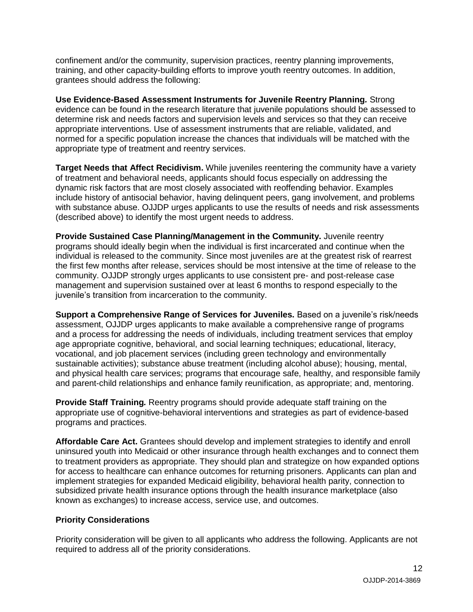confinement and/or the community, supervision practices, reentry planning improvements, training, and other capacity-building efforts to improve youth reentry outcomes. In addition, grantees should address the following:

**Use Evidence-Based Assessment Instruments for Juvenile Reentry Planning***.* Strong evidence can be found in the research literature that juvenile populations should be assessed to determine risk and needs factors and supervision levels and services so that they can receive appropriate interventions. Use of assessment instruments that are reliable, validated, and normed for a specific population increase the chances that individuals will be matched with the appropriate type of treatment and reentry services.

**Target Needs that Affect Recidivism.** While juveniles reentering the community have a variety of treatment and behavioral needs, applicants should focus especially on addressing the dynamic risk factors that are most closely associated with reoffending behavior. Examples include history of antisocial behavior, having delinquent peers, gang involvement, and problems with substance abuse. OJJDP urges applicants to use the results of needs and risk assessments (described above) to identify the most urgent needs to address.

**Provide Sustained Case Planning/Management in the Community.** Juvenile reentry programs should ideally begin when the individual is first incarcerated and continue when the individual is released to the community. Since most juveniles are at the greatest risk of rearrest the first few months after release, services should be most intensive at the time of release to the community. OJJDP strongly urges applicants to use consistent pre- and post-release case management and supervision sustained over at least 6 months to respond especially to the juvenile's transition from incarceration to the community.

**Support a Comprehensive Range of Services for Juveniles.** Based on a juvenile's risk/needs assessment, OJJDP urges applicants to make available a comprehensive range of programs and a process for addressing the needs of individuals, including treatment services that employ age appropriate cognitive, behavioral, and social learning techniques; educational, literacy, vocational, and job placement services (including green technology and environmentally sustainable activities); substance abuse treatment (including alcohol abuse); housing, mental, and physical health care services; programs that encourage safe, healthy, and responsible family and parent-child relationships and enhance family reunification, as appropriate; and, mentoring.

**Provide Staff Training***.* Reentry programs should provide adequate staff training on the appropriate use of cognitive-behavioral interventions and strategies as part of evidence-based programs and practices.

**Affordable Care Act.** Grantees should develop and implement strategies to identify and enroll uninsured youth into Medicaid or other insurance through health exchanges and to connect them to treatment providers as appropriate. They should plan and strategize on how expanded options for access to healthcare can enhance outcomes for returning prisoners. Applicants can plan and implement strategies for expanded Medicaid eligibility, behavioral health parity, connection to subsidized private health insurance options through the health insurance marketplace (also known as exchanges) to increase access, service use, and outcomes.

### **Priority Considerations**

Priority consideration will be given to all applicants who address the following. Applicants are not required to address all of the priority considerations.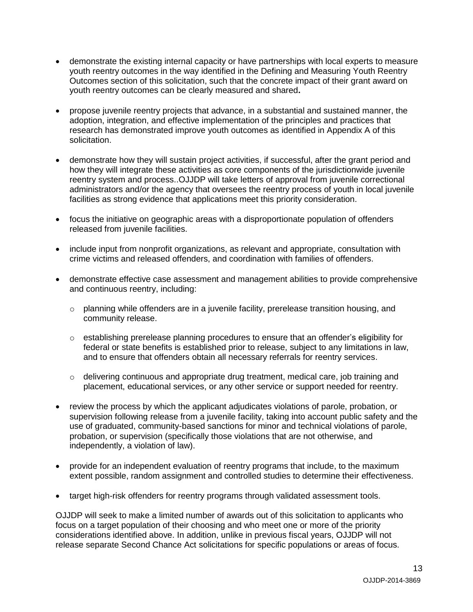- demonstrate the existing internal capacity or have partnerships with local experts to measure youth reentry outcomes in the way identified in the Defining and Measuring Youth Reentry Outcomes section of this solicitation, such that the concrete impact of their grant award on youth reentry outcomes can be clearly measured and shared**.**
- propose juvenile reentry projects that advance, in a substantial and sustained manner, the adoption, integration, and effective implementation of the principles and practices that research has demonstrated improve youth outcomes as identified in Appendix A of this solicitation.
- demonstrate how they will sustain project activities, if successful, after the grant period and how they will integrate these activities as core components of the jurisdictionwide juvenile reentry system and process..OJJDP will take letters of approval from juvenile correctional administrators and/or the agency that oversees the reentry process of youth in local juvenile facilities as strong evidence that applications meet this priority consideration.
- focus the initiative on geographic areas with a disproportionate population of offenders released from juvenile facilities.
- include input from nonprofit organizations, as relevant and appropriate, consultation with crime victims and released offenders, and coordination with families of offenders.
- demonstrate effective case assessment and management abilities to provide comprehensive and continuous reentry, including:
	- $\circ$  planning while offenders are in a juvenile facility, prerelease transition housing, and community release.
	- $\circ$  establishing prerelease planning procedures to ensure that an offender's eligibility for federal or state benefits is established prior to release, subject to any limitations in law, and to ensure that offenders obtain all necessary referrals for reentry services.
	- $\circ$  delivering continuous and appropriate drug treatment, medical care, job training and placement, educational services, or any other service or support needed for reentry.
- review the process by which the applicant adjudicates violations of parole, probation, or supervision following release from a juvenile facility, taking into account public safety and the use of graduated, community-based sanctions for minor and technical violations of parole, probation, or supervision (specifically those violations that are not otherwise, and independently, a violation of law).
- provide for an independent evaluation of reentry programs that include, to the maximum extent possible, random assignment and controlled studies to determine their effectiveness.
- target high-risk offenders for reentry programs through validated assessment tools.

OJJDP will seek to make a limited number of awards out of this solicitation to applicants who focus on a target population of their choosing and who meet one or more of the priority considerations identified above. In addition, unlike in previous fiscal years, OJJDP will not release separate Second Chance Act solicitations for specific populations or areas of focus.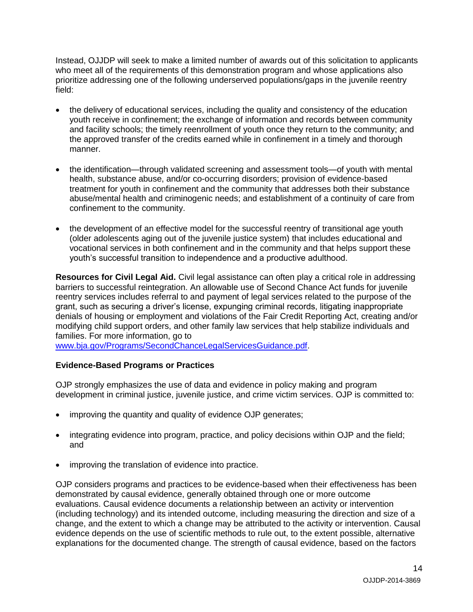Instead, OJJDP will seek to make a limited number of awards out of this solicitation to applicants who meet all of the requirements of this demonstration program and whose applications also prioritize addressing one of the following underserved populations/gaps in the juvenile reentry field:

- the delivery of educational services, including the quality and consistency of the education youth receive in confinement; the exchange of information and records between community and facility schools; the timely reenrollment of youth once they return to the community; and the approved transfer of the credits earned while in confinement in a timely and thorough manner.
- the identification—through validated screening and assessment tools—of youth with mental health, substance abuse, and/or co-occurring disorders; provision of evidence-based treatment for youth in confinement and the community that addresses both their substance abuse/mental health and criminogenic needs; and establishment of a continuity of care from confinement to the community.
- the development of an effective model for the successful reentry of transitional age youth (older adolescents aging out of the juvenile justice system) that includes educational and vocational services in both confinement and in the community and that helps support these youth's successful transition to independence and a productive adulthood.

**Resources for Civil Legal Aid.** Civil legal assistance can often play a critical role in addressing barriers to successful reintegration. An allowable use of Second Chance Act funds for juvenile reentry services includes referral to and payment of legal services related to the purpose of the grant, such as securing a driver's license, expunging criminal records, litigating inappropriate denials of housing or employment and violations of the Fair Credit Reporting Act, creating and/or modifying child support orders, and other family law services that help stabilize individuals and families. For more information, go to

[www.bja.gov/Programs/SecondChanceLegalServicesGuidance.pdf.](http://www.bja.gov/Programs/SecondChanceLegalServicesGuidance.pdf)

### **Evidence-Based Programs or Practices**

OJP strongly emphasizes the use of data and evidence in policy making and program development in criminal justice, juvenile justice, and crime victim services. OJP is committed to:

- improving the quantity and quality of evidence OJP generates;
- integrating evidence into program, practice, and policy decisions within OJP and the field; and
- improving the translation of evidence into practice.

OJP considers programs and practices to be evidence-based when their effectiveness has been demonstrated by causal evidence, generally obtained through one or more outcome evaluations. Causal evidence documents a relationship between an activity or intervention (including technology) and its intended outcome, including measuring the direction and size of a change, and the extent to which a change may be attributed to the activity or intervention. Causal evidence depends on the use of scientific methods to rule out, to the extent possible, alternative explanations for the documented change. The strength of causal evidence, based on the factors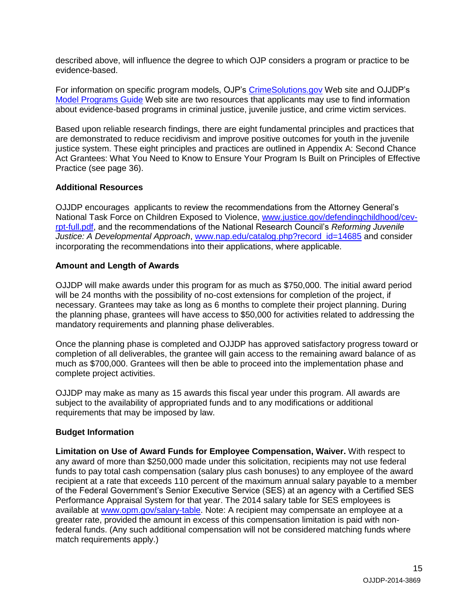described above, will influence the degree to which OJP considers a program or practice to be evidence-based.

For information on specific program models, OJP's [CrimeSolutions.gov](http://www.crimesolutions.gov/) Web site and OJJDP's [Model Programs](http://www.ojjdp.gov/MPG/) Guide Web site are two resources that applicants may use to find information about evidence-based programs in criminal justice, juvenile justice, and crime victim services.

Based upon reliable research findings, there are eight fundamental principles and practices that are demonstrated to reduce recidivism and improve positive outcomes for youth in the juvenile justice system. These eight principles and practices are outlined in Appendix A: Second Chance Act Grantees: What You Need to Know to Ensure Your Program Is Built on Principles of Effective Practice (see page 36).

### **Additional Resources**

OJJDP encourages applicants to review the recommendations from the Attorney General's National Task Force on Children Exposed to Violence, [www.justice.gov/defendingchildhood/cev](http://www.justice.gov/defendingchildhood/cev-rpt-full.pdf)[rpt-full.pdf,](http://www.justice.gov/defendingchildhood/cev-rpt-full.pdf) and the recommendations of the National Research Council's *Reforming Juvenile Justice: A Developmental Approach*, [www.nap.edu/catalog.php?record\\_id=14685](http://www.nap.edu/catalog.php?record_id=14685) and consider incorporating the recommendations into their applications, where applicable.

### **Amount and Length of Awards**

OJJDP will make awards under this program for as much as \$750,000. The initial award period will be 24 months with the possibility of no-cost extensions for completion of the project, if necessary. Grantees may take as long as 6 months to complete their project planning. During the planning phase, grantees will have access to \$50,000 for activities related to addressing the mandatory requirements and planning phase deliverables.

Once the planning phase is completed and OJJDP has approved satisfactory progress toward or completion of all deliverables, the grantee will gain access to the remaining award balance of as much as \$700,000. Grantees will then be able to proceed into the implementation phase and complete project activities.

OJJDP may make as many as 15 awards this fiscal year under this program. All awards are subject to the availability of appropriated funds and to any modifications or additional requirements that may be imposed by law.

### **Budget Information**

**Limitation on Use of Award Funds for Employee Compensation, Waiver.** With respect to any award of more than \$250,000 made under this solicitation, recipients may not use federal funds to pay total cash compensation (salary plus cash bonuses) to any employee of the award recipient at a rate that exceeds 110 percent of the maximum annual salary payable to a member of the Federal Government's Senior Executive Service (SES) at an agency with a Certified SES Performance Appraisal System for that year. The 2014 salary table for SES employees is available at [www.opm.gov/salary-table.](http://www.opm.gov/policy-data-oversight/pay-leave/salaries-wages/salary-tables/14Tables/exec/html/ES.aspx) Note: A recipient may compensate an employee at a greater rate, provided the amount in excess of this compensation limitation is paid with nonfederal funds. (Any such additional compensation will not be considered matching funds where match requirements apply.)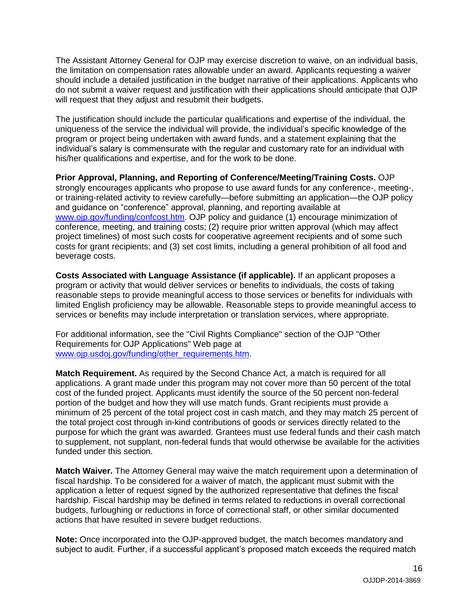The Assistant Attorney General for OJP may exercise discretion to waive, on an individual basis, the limitation on compensation rates allowable under an award. Applicants requesting a waiver should include a detailed justification in the budget narrative of their applications. Applicants who do not submit a waiver request and justification with their applications should anticipate that OJP will request that they adjust and resubmit their budgets.

The justification should include the particular qualifications and expertise of the individual, the uniqueness of the service the individual will provide, the individual's specific knowledge of the program or project being undertaken with award funds, and a statement explaining that the individual's salary is commensurate with the regular and customary rate for an individual with his/her qualifications and expertise, and for the work to be done.

**Prior Approval, Planning, and Reporting of Conference/Meeting/Training Costs.** OJP strongly encourages applicants who propose to use award funds for any conference-, meeting-, or training-related activity to review carefully—before submitting an application—the OJP policy and guidance on "conference" approval, planning, and reporting available at [www.ojp.gov/funding/confcost.htm.](http://www.ojp.gov/funding/confcost.htm) OJP policy and guidance (1) encourage minimization of conference, meeting, and training costs; (2) require prior written approval (which may affect project timelines) of most such costs for cooperative agreement recipients and of some such costs for grant recipients; and (3) set cost limits, including a general prohibition of all food and beverage costs.

**Costs Associated with Language Assistance (if applicable).** If an applicant proposes a program or activity that would deliver services or benefits to individuals, the costs of taking reasonable steps to provide meaningful access to those services or benefits for individuals with limited English proficiency may be allowable. Reasonable steps to provide meaningful access to services or benefits may include interpretation or translation services, where appropriate.

For additional information, see the "Civil Rights Compliance" section of the OJP "Other Requirements for OJP Applications" Web page at [www.ojp.usdoj.gov/funding/other\\_requirements.htm.](http://www.ojp.usdoj.gov/funding/other_requirements.htm)

**Match Requirement.** As required by the Second Chance Act, a match is required for all applications. A grant made under this program may not cover more than 50 percent of the total cost of the funded project. Applicants must identify the source of the 50 percent non-federal portion of the budget and how they will use match funds. Grant recipients must provide a minimum of 25 percent of the total project cost in cash match, and they may match 25 percent of the total project cost through in-kind contributions of goods or services directly related to the purpose for which the grant was awarded. Grantees must use federal funds and their cash match to supplement, not supplant, non-federal funds that would otherwise be available for the activities funded under this section.

**Match Waiver.** The Attorney General may waive the match requirement upon a determination of fiscal hardship. To be considered for a waiver of match, the applicant must submit with the application a letter of request signed by the authorized representative that defines the fiscal hardship. Fiscal hardship may be defined in terms related to reductions in overall correctional budgets, furloughing or reductions in force of correctional staff, or other similar documented actions that have resulted in severe budget reductions.

**Note:** Once incorporated into the OJP-approved budget, the match becomes mandatory and subject to audit. Further, if a successful applicant's proposed match exceeds the required match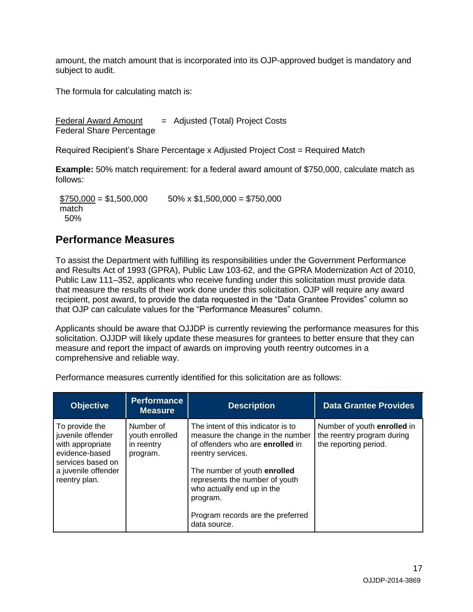amount, the match amount that is incorporated into its OJP-approved budget is mandatory and subject to audit.

The formula for calculating match is:

Federal Award Amount  $=$  Adjusted (Total) Project Costs Federal Share Percentage

Required Recipient's Share Percentage x Adjusted Project Cost = Required Match

**Example:** 50% match requirement: for a federal award amount of \$750,000, calculate match as follows:

 $$750,000 = $1,500,000$  50% x \$1,500,000 = \$750,000 match 50%

### <span id="page-16-0"></span>**Performance Measures**

To assist the Department with fulfilling its responsibilities under the Government Performance and Results Act of 1993 (GPRA), Public Law 103-62, and the GPRA Modernization Act of 2010, Public Law 111–352, applicants who receive funding under this solicitation must provide data that measure the results of their work done under this solicitation. OJP will require any award recipient, post award, to provide the data requested in the "Data Grantee Provides" column so that OJP can calculate values for the "Performance Measures" column.

Applicants should be aware that OJJDP is currently reviewing the performance measures for this solicitation. OJJDP will likely update these measures for grantees to better ensure that they can measure and report the impact of awards on improving youth reentry outcomes in a comprehensive and reliable way.

Performance measures currently identified for this solicitation are as follows:

| <b>Objective</b>                                                                                                                       | <b>Performance</b><br><b>Measure</b>                  | <b>Description</b>                                                                                                                                                                                                                                                                               | <b>Data Grantee Provides</b>                                                       |
|----------------------------------------------------------------------------------------------------------------------------------------|-------------------------------------------------------|--------------------------------------------------------------------------------------------------------------------------------------------------------------------------------------------------------------------------------------------------------------------------------------------------|------------------------------------------------------------------------------------|
| To provide the<br>juvenile offender<br>with appropriate<br>evidence-based<br>services based on<br>a juvenile offender<br>reentry plan. | Number of<br>youth enrolled<br>in reentry<br>program. | The intent of this indicator is to<br>measure the change in the number<br>of offenders who are enrolled in<br>reentry services.<br>The number of youth enrolled<br>represents the number of youth<br>who actually end up in the<br>program.<br>Program records are the preferred<br>data source. | Number of youth enrolled in<br>the reentry program during<br>the reporting period. |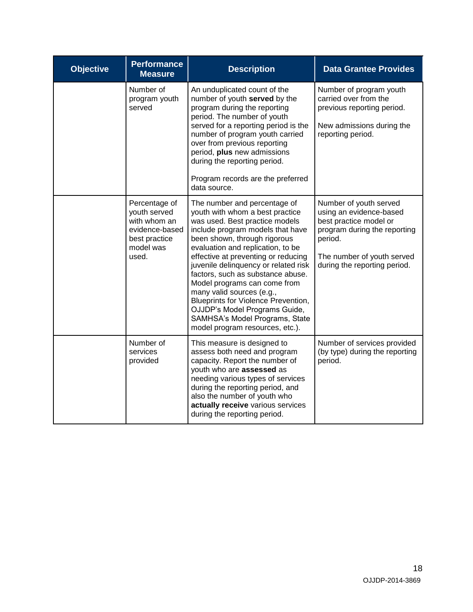| <b>Objective</b> | <b>Performance</b><br><b>Measure</b>                                                                   | <b>Description</b>                                                                                                                                                                                                                                                                                                                                                                                                                                                                                                                       | <b>Data Grantee Provides</b>                                                                                                                                                         |
|------------------|--------------------------------------------------------------------------------------------------------|------------------------------------------------------------------------------------------------------------------------------------------------------------------------------------------------------------------------------------------------------------------------------------------------------------------------------------------------------------------------------------------------------------------------------------------------------------------------------------------------------------------------------------------|--------------------------------------------------------------------------------------------------------------------------------------------------------------------------------------|
|                  | Number of<br>program youth<br>served                                                                   | An unduplicated count of the<br>number of youth served by the<br>program during the reporting<br>period. The number of youth<br>served for a reporting period is the<br>number of program youth carried<br>over from previous reporting<br>period, plus new admissions<br>during the reporting period.<br>Program records are the preferred<br>data source.                                                                                                                                                                              | Number of program youth<br>carried over from the<br>previous reporting period.<br>New admissions during the<br>reporting period.                                                     |
|                  | Percentage of<br>youth served<br>with whom an<br>evidence-based<br>best practice<br>model was<br>used. | The number and percentage of<br>youth with whom a best practice<br>was used. Best practice models<br>include program models that have<br>been shown, through rigorous<br>evaluation and replication, to be<br>effective at preventing or reducing<br>juvenile delinquency or related risk<br>factors, such as substance abuse.<br>Model programs can come from<br>many valid sources (e.g.,<br>Blueprints for Violence Prevention,<br>OJJDP's Model Programs Guide,<br>SAMHSA's Model Programs, State<br>model program resources, etc.). | Number of youth served<br>using an evidence-based<br>best practice model or<br>program during the reporting<br>period.<br>The number of youth served<br>during the reporting period. |
|                  | Number of<br>services<br>provided                                                                      | This measure is designed to<br>assess both need and program<br>capacity. Report the number of<br>youth who are assessed as<br>needing various types of services<br>during the reporting period, and<br>also the number of youth who<br>actually receive various services<br>during the reporting period.                                                                                                                                                                                                                                 | Number of services provided<br>(by type) during the reporting<br>period.                                                                                                             |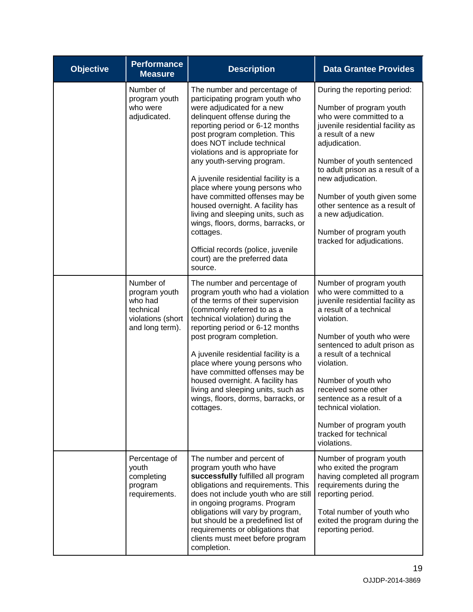| <b>Objective</b> | <b>Performance</b><br><b>Measure</b>                                                       | <b>Description</b>                                                                                                                                                                                                                                                                                                                                                                                                                                                                                                                                                                                                            | <b>Data Grantee Provides</b>                                                                                                                                                                                                                                                                                                                                                                               |
|------------------|--------------------------------------------------------------------------------------------|-------------------------------------------------------------------------------------------------------------------------------------------------------------------------------------------------------------------------------------------------------------------------------------------------------------------------------------------------------------------------------------------------------------------------------------------------------------------------------------------------------------------------------------------------------------------------------------------------------------------------------|------------------------------------------------------------------------------------------------------------------------------------------------------------------------------------------------------------------------------------------------------------------------------------------------------------------------------------------------------------------------------------------------------------|
|                  | Number of<br>program youth<br>who were<br>adjudicated.                                     | The number and percentage of<br>participating program youth who<br>were adjudicated for a new<br>delinquent offense during the<br>reporting period or 6-12 months<br>post program completion. This<br>does NOT include technical<br>violations and is appropriate for<br>any youth-serving program.<br>A juvenile residential facility is a<br>place where young persons who<br>have committed offenses may be<br>housed overnight. A facility has<br>living and sleeping units, such as<br>wings, floors, dorms, barracks, or<br>cottages.<br>Official records (police, juvenile<br>court) are the preferred data<br>source. | During the reporting period:<br>Number of program youth<br>who were committed to a<br>juvenile residential facility as<br>a result of a new<br>adjudication.<br>Number of youth sentenced<br>to adult prison as a result of a<br>new adjudication.<br>Number of youth given some<br>other sentence as a result of<br>a new adjudication.<br>Number of program youth<br>tracked for adjudications.          |
|                  | Number of<br>program youth<br>who had<br>technical<br>violations (short<br>and long term). | The number and percentage of<br>program youth who had a violation<br>of the terms of their supervision<br>(commonly referred to as a<br>technical violation) during the<br>reporting period or 6-12 months<br>post program completion.<br>A juvenile residential facility is a<br>place where young persons who<br>have committed offenses may be<br>housed overnight. A facility has<br>living and sleeping units, such as<br>wings, floors, dorms, barracks, or<br>cottages.                                                                                                                                                | Number of program youth<br>who were committed to a<br>juvenile residential facility as<br>a result of a technical<br>violation.<br>Number of youth who were<br>sentenced to adult prison as<br>a result of a technical<br>violation.<br>Number of youth who<br>received some other<br>sentence as a result of a<br>technical violation.<br>Number of program youth<br>tracked for technical<br>violations. |
|                  | Percentage of<br>youth<br>completing<br>program<br>requirements.                           | The number and percent of<br>program youth who have<br>successfully fulfilled all program<br>obligations and requirements. This<br>does not include youth who are still<br>in ongoing programs. Program<br>obligations will vary by program,<br>but should be a predefined list of<br>requirements or obligations that<br>clients must meet before program<br>completion.                                                                                                                                                                                                                                                     | Number of program youth<br>who exited the program<br>having completed all program<br>requirements during the<br>reporting period.<br>Total number of youth who<br>exited the program during the<br>reporting period.                                                                                                                                                                                       |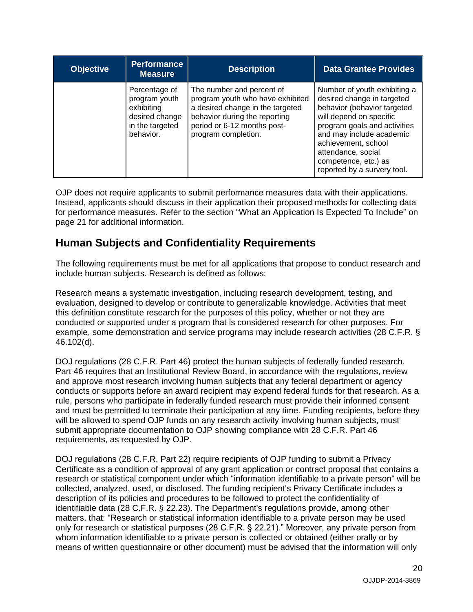| <b>Objective</b> | <b>Performance</b><br><b>Measure</b>                                                           | <b>Description</b>                                                                                                                                                                       | <b>Data Grantee Provides</b>                                                                                                                                                                                                                                                         |
|------------------|------------------------------------------------------------------------------------------------|------------------------------------------------------------------------------------------------------------------------------------------------------------------------------------------|--------------------------------------------------------------------------------------------------------------------------------------------------------------------------------------------------------------------------------------------------------------------------------------|
|                  | Percentage of<br>program youth<br>exhibiting<br>desired change<br>in the targeted<br>behavior. | The number and percent of<br>program youth who have exhibited<br>a desired change in the targeted<br>behavior during the reporting<br>period or 6-12 months post-<br>program completion. | Number of youth exhibiting a<br>desired change in targeted<br>behavior (behavior targeted<br>will depend on specific<br>program goals and activities<br>and may include academic<br>achievement, school<br>attendance, social<br>competence, etc.) as<br>reported by a survery tool. |

OJP does not require applicants to submit performance measures data with their applications. Instead, applicants should discuss in their application their proposed methods for collecting data for performance measures. Refer to the section "What an Application Is Expected To Include" on page 21 for additional information.

## <span id="page-19-0"></span>**Human Subjects and Confidentiality Requirements**

The following requirements must be met for all applications that propose to conduct research and include human subjects. Research is defined as follows:

Research means a systematic investigation, including research development, testing, and evaluation, designed to develop or contribute to generalizable knowledge. Activities that meet this definition constitute research for the purposes of this policy, whether or not they are conducted or supported under a program that is considered research for other purposes. For example, some demonstration and service programs may include research activities (28 C.F.R. § 46.102(d).

DOJ regulations (28 C.F.R. Part 46) protect the human subjects of federally funded research. Part 46 requires that an Institutional Review Board, in accordance with the regulations, review and approve most research involving human subjects that any federal department or agency conducts or supports before an award recipient may expend federal funds for that research. As a rule, persons who participate in federally funded research must provide their informed consent and must be permitted to terminate their participation at any time. Funding recipients, before they will be allowed to spend OJP funds on any research activity involving human subjects, must submit appropriate documentation to OJP showing compliance with 28 C.F.R. Part 46 requirements, as requested by OJP.

DOJ regulations (28 C.F.R. Part 22) require recipients of OJP funding to submit a Privacy Certificate as a condition of approval of any grant application or contract proposal that contains a research or statistical component under which "information identifiable to a private person" will be collected, analyzed, used, or disclosed. The funding recipient's Privacy Certificate includes a description of its policies and procedures to be followed to protect the confidentiality of identifiable data (28 C.F.R. § 22.23). The Department's regulations provide, among other matters, that: "Research or statistical information identifiable to a private person may be used only for research or statistical purposes (28 C.F.R. § 22.21)." Moreover, any private person from whom information identifiable to a private person is collected or obtained (either orally or by means of written questionnaire or other document) must be advised that the information will only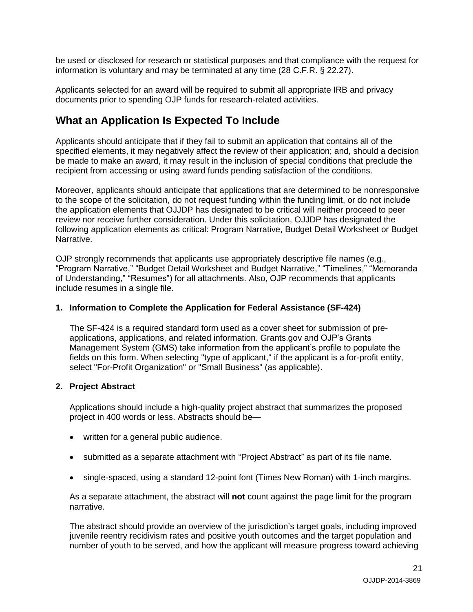be used or disclosed for research or statistical purposes and that compliance with the request for information is voluntary and may be terminated at any time (28 C.F.R. § 22.27).

Applicants selected for an award will be required to submit all appropriate IRB and privacy documents prior to spending OJP funds for research-related activities.

### <span id="page-20-0"></span>**What an Application Is Expected To Include**

Applicants should anticipate that if they fail to submit an application that contains all of the specified elements, it may negatively affect the review of their application; and, should a decision be made to make an award, it may result in the inclusion of special conditions that preclude the recipient from accessing or using award funds pending satisfaction of the conditions.

Moreover, applicants should anticipate that applications that are determined to be nonresponsive to the scope of the solicitation, do not request funding within the funding limit, or do not include the application elements that OJJDP has designated to be critical will neither proceed to peer review nor receive further consideration. Under this solicitation, OJJDP has designated the following application elements as critical: Program Narrative, Budget Detail Worksheet or Budget Narrative.

OJP strongly recommends that applicants use appropriately descriptive file names (e.g*.*, "Program Narrative," "Budget Detail Worksheet and Budget Narrative," "Timelines," "Memoranda of Understanding," "Resumes") for all attachments. Also, OJP recommends that applicants include resumes in a single file.

### <span id="page-20-1"></span>**1. Information to Complete the Application for Federal Assistance (SF-424)**

The SF-424 is a required standard form used as a cover sheet for submission of preapplications, applications, and related information. Grants.gov and OJP's Grants Management System (GMS) take information from the applicant's profile to populate the fields on this form. When selecting "type of applicant," if the applicant is a for-profit entity, select "For-Profit Organization" or "Small Business" (as applicable).

### <span id="page-20-2"></span>**2. Project Abstract**

Applications should include a high-quality project abstract that summarizes the proposed project in 400 words or less. Abstracts should be—

- written for a general public audience.
- submitted as a separate attachment with "Project Abstract" as part of its file name.
- single-spaced, using a standard 12-point font (Times New Roman) with 1-inch margins.

As a separate attachment, the abstract will **not** count against the page limit for the program narrative.

The abstract should provide an overview of the jurisdiction's target goals, including improved juvenile reentry recidivism rates and positive youth outcomes and the target population and number of youth to be served, and how the applicant will measure progress toward achieving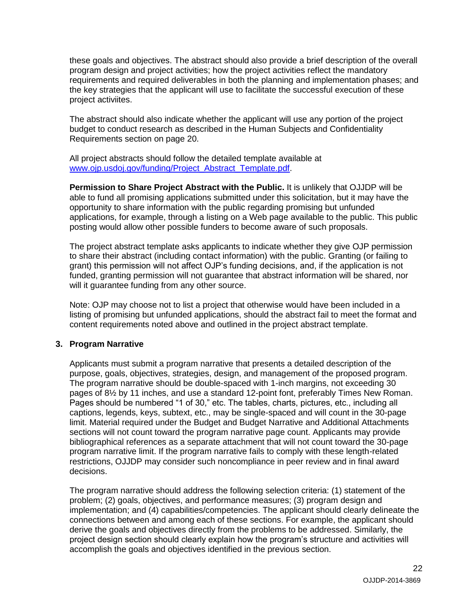these goals and objectives. The abstract should also provide a brief description of the overall program design and project activities; how the project activities reflect the mandatory requirements and required deliverables in both the planning and implementation phases; and the key strategies that the applicant will use to facilitate the successful execution of these project activiites.

The abstract should also indicate whether the applicant will use any portion of the project budget to conduct research as described in the Human Subjects and Confidentiality Requirements section on page 20.

All project abstracts should follow the detailed template available at [www.ojp.usdoj.gov/funding/Project\\_Abstract\\_Template.pdf.](http://www.ojp.usdoj.gov/funding/Project_Abstract_Template.pdf)

**Permission to Share Project Abstract with the Public.** It is unlikely that OJJDP will be able to fund all promising applications submitted under this solicitation, but it may have the opportunity to share information with the public regarding promising but unfunded applications, for example, through a listing on a Web page available to the public. This public posting would allow other possible funders to become aware of such proposals.

The project abstract template asks applicants to indicate whether they give OJP permission to share their abstract (including contact information) with the public. Granting (or failing to grant) this permission will not affect OJP's funding decisions, and, if the application is not funded, granting permission will not guarantee that abstract information will be shared, nor will it quarantee funding from any other source.

Note: OJP may choose not to list a project that otherwise would have been included in a listing of promising but unfunded applications, should the abstract fail to meet the format and content requirements noted above and outlined in the project abstract template.

### <span id="page-21-0"></span>**3. Program Narrative**

Applicants must submit a program narrative that presents a detailed description of the purpose, goals, objectives, strategies, design, and management of the proposed program. The program narrative should be double-spaced with 1-inch margins, not exceeding 30 pages of 8½ by 11 inches, and use a standard 12-point font, preferably Times New Roman. Pages should be numbered "1 of 30," etc. The tables, charts, pictures, etc., including all captions, legends, keys, subtext, etc., may be single-spaced and will count in the 30-page limit. Material required under the Budget and Budget Narrative and Additional Attachments sections will not count toward the program narrative page count. Applicants may provide bibliographical references as a separate attachment that will not count toward the 30-page program narrative limit. If the program narrative fails to comply with these length-related restrictions, OJJDP may consider such noncompliance in peer review and in final award decisions.

The program narrative should address the following selection criteria: (1) statement of the problem; (2) goals, objectives, and performance measures; (3) program design and implementation; and (4) capabilities/competencies. The applicant should clearly delineate the connections between and among each of these sections. For example, the applicant should derive the goals and objectives directly from the problems to be addressed. Similarly, the project design section should clearly explain how the program's structure and activities will accomplish the goals and objectives identified in the previous section.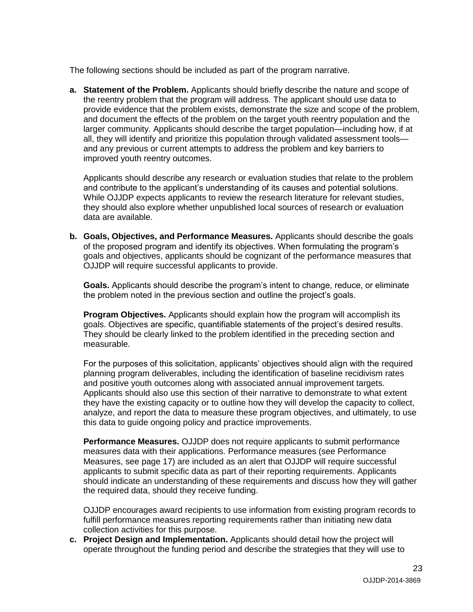The following sections should be included as part of the program narrative.

**a. Statement of the Problem.** Applicants should briefly describe the nature and scope of the reentry problem that the program will address. The applicant should use data to provide evidence that the problem exists, demonstrate the size and scope of the problem, and document the effects of the problem on the target youth reentry population and the larger community. Applicants should describe the target population—including how, if at all, they will identify and prioritize this population through validated assessment tools and any previous or current attempts to address the problem and key barriers to improved youth reentry outcomes.

Applicants should describe any research or evaluation studies that relate to the problem and contribute to the applicant's understanding of its causes and potential solutions. While OJJDP expects applicants to review the research literature for relevant studies, they should also explore whether unpublished local sources of research or evaluation data are available.

**b. Goals, Objectives, and Performance Measures.** Applicants should describe the goals of the proposed program and identify its objectives. When formulating the program's goals and objectives, applicants should be cognizant of the performance measures that OJJDP will require successful applicants to provide.

**Goals.** Applicants should describe the program's intent to change, reduce, or eliminate the problem noted in the previous section and outline the project's goals.

**Program Objectives.** Applicants should explain how the program will accomplish its goals. Objectives are specific, quantifiable statements of the project's desired results. They should be clearly linked to the problem identified in the preceding section and measurable.

For the purposes of this solicitation, applicants' objectives should align with the required planning program deliverables, including the identification of baseline recidivism rates and positive youth outcomes along with associated annual improvement targets. Applicants should also use this section of their narrative to demonstrate to what extent they have the existing capacity or to outline how they will develop the capacity to collect, analyze, and report the data to measure these program objectives, and ultimately, to use this data to guide ongoing policy and practice improvements.

**Performance Measures.** OJJDP does not require applicants to submit performance measures data with their applications. Performance measures (see Performance Measures, see page 17) are included as an alert that OJJDP will require successful applicants to submit specific data as part of their reporting requirements. Applicants should indicate an understanding of these requirements and discuss how they will gather the required data, should they receive funding.

OJJDP encourages award recipients to use information from existing program records to fulfill performance measures reporting requirements rather than initiating new data collection activities for this purpose.

**c. Project Design and Implementation.** Applicants should detail how the project will operate throughout the funding period and describe the strategies that they will use to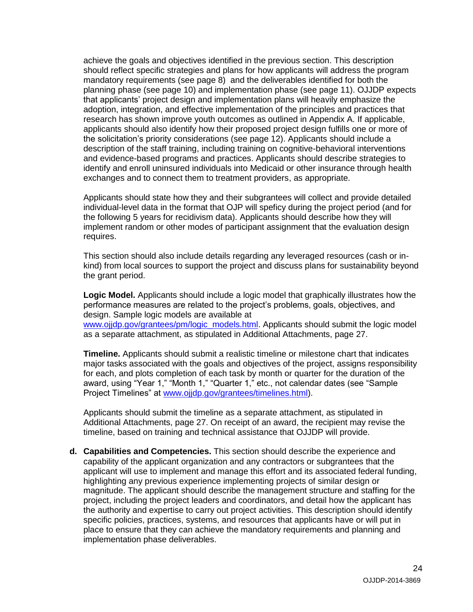achieve the goals and objectives identified in the previous section. This description should reflect specific strategies and plans for how applicants will address the program mandatory requirements (see page 8) and the deliverables identified for both the planning phase (see page 10) and implementation phase (see page 11). OJJDP expects that applicants' project design and implementation plans will heavily emphasize the adoption, integration, and effective implementation of the principles and practices that research has shown improve youth outcomes as outlined in Appendix A. If applicable, applicants should also identify how their proposed project design fulfills one or more of the solicitation's priority considerations (see page 12). Applicants should include a description of the staff training, including training on cognitive-behavioral interventions and evidence-based programs and practices. Applicants should describe strategies to identify and enroll uninsured individuals into Medicaid or other insurance through health exchanges and to connect them to treatment providers, as appropriate.

Applicants should state how they and their subgrantees will collect and provide detailed individual-level data in the format that OJP will speficy during the project period (and for the following 5 years for recidivism data). Applicants should describe how they will implement random or other modes of participant assignment that the evaluation design requires.

This section should also include details regarding any leveraged resources (cash or inkind) from local sources to support the project and discuss plans for sustainability beyond the grant period.

**Logic Model.** Applicants should include a logic model that graphically illustrates how the performance measures are related to the project's problems, goals, objectives, and design. Sample logic models are available at www.ojidp.gov/grantees/pm/logic\_models.html. Applicants should submit the logic model as a separate attachment, as stipulated in Additional Attachments, page 27.

**Timeline.** Applicants should submit a realistic timeline or milestone chart that indicates major tasks associated with the goals and objectives of the project, assigns responsibility for each, and plots completion of each task by month or quarter for the duration of the award, using "Year 1," "Month 1," "Quarter 1," etc., not calendar dates (see "Sample Project Timelines" at [www.ojjdp.gov/grantees/timelines.html\)](http://www.ojjdp.gov/grantees/timelines.html).

Applicants should submit the timeline as a separate attachment, as stipulated in Additional Attachments, page 27. On receipt of an award, the recipient may revise the timeline, based on training and technical assistance that OJJDP will provide.

**d. Capabilities and Competencies.** This section should describe the experience and capability of the applicant organization and any contractors or subgrantees that the applicant will use to implement and manage this effort and its associated federal funding, highlighting any previous experience implementing projects of similar design or magnitude. The applicant should describe the management structure and staffing for the project, including the project leaders and coordinators, and detail how the applicant has the authority and expertise to carry out project activities. This description should identify specific policies, practices, systems, and resources that applicants have or will put in place to ensure that they can achieve the mandatory requirements and planning and implementation phase deliverables.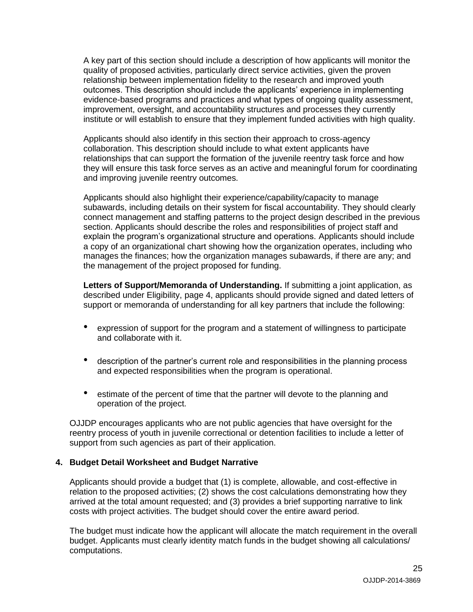A key part of this section should include a description of how applicants will monitor the quality of proposed activities, particularly direct service activities, given the proven relationship between implementation fidelity to the research and improved youth outcomes. This description should include the applicants' experience in implementing evidence-based programs and practices and what types of ongoing quality assessment, improvement, oversight, and accountability structures and processes they currently institute or will establish to ensure that they implement funded activities with high quality.

Applicants should also identify in this section their approach to cross-agency collaboration. This description should include to what extent applicants have relationships that can support the formation of the juvenile reentry task force and how they will ensure this task force serves as an active and meaningful forum for coordinating and improving juvenile reentry outcomes.

Applicants should also highlight their experience/capability/capacity to manage subawards, including details on their system for fiscal accountability. They should clearly connect management and staffing patterns to the project design described in the previous section. Applicants should describe the roles and responsibilities of project staff and explain the program's organizational structure and operations. Applicants should include a copy of an organizational chart showing how the organization operates, including who manages the finances; how the organization manages subawards, if there are any; and the management of the project proposed for funding.

**Letters of Support/Memoranda of Understanding.** If submitting a joint application, as described under Eligibility, page 4, applicants should provide signed and dated letters of support or memoranda of understanding for all key partners that include the following:

- expression of support for the program and a statement of willingness to participate and collaborate with it.
- description of the partner's current role and responsibilities in the planning process and expected responsibilities when the program is operational.
- estimate of the percent of time that the partner will devote to the planning and operation of the project.

OJJDP encourages applicants who are not public agencies that have oversight for the reentry process of youth in juvenile correctional or detention facilities to include a letter of support from such agencies as part of their application.

### <span id="page-24-0"></span>**4. Budget Detail Worksheet and Budget Narrative**

Applicants should provide a budget that (1) is complete, allowable, and cost-effective in relation to the proposed activities; (2) shows the cost calculations demonstrating how they arrived at the total amount requested; and (3) provides a brief supporting narrative to link costs with project activities. The budget should cover the entire award period.

The budget must indicate how the applicant will allocate the match requirement in the overall budget. Applicants must clearly identity match funds in the budget showing all calculations/ computations.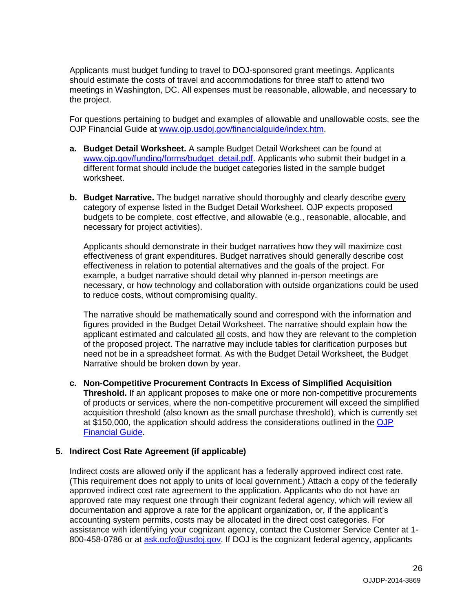Applicants must budget funding to travel to DOJ-sponsored grant meetings. Applicants should estimate the costs of travel and accommodations for three staff to attend two meetings in Washington, DC. All expenses must be reasonable, allowable, and necessary to the project.

For questions pertaining to budget and examples of allowable and unallowable costs, see the OJP Financial Guide at [www.ojp.usdoj.gov/financialguide/index.htm.](http://www.ojp.usdoj.gov/financialguide/index.htm)

- **a. Budget Detail Worksheet.** A sample Budget Detail Worksheet can be found at [www.ojp.gov/funding/forms/budget\\_detail.pdf.](http://www.ojp.gov/funding/forms/budget_detail.pdf) Applicants who submit their budget in a different format should include the budget categories listed in the sample budget worksheet.
- **b. Budget Narrative.** The budget narrative should thoroughly and clearly describe every category of expense listed in the Budget Detail Worksheet. OJP expects proposed budgets to be complete, cost effective, and allowable (e.g., reasonable, allocable, and necessary for project activities).

Applicants should demonstrate in their budget narratives how they will maximize cost effectiveness of grant expenditures. Budget narratives should generally describe cost effectiveness in relation to potential alternatives and the goals of the project. For example, a budget narrative should detail why planned in-person meetings are necessary, or how technology and collaboration with outside organizations could be used to reduce costs, without compromising quality.

The narrative should be mathematically sound and correspond with the information and figures provided in the Budget Detail Worksheet. The narrative should explain how the applicant estimated and calculated all costs, and how they are relevant to the completion of the proposed project. The narrative may include tables for clarification purposes but need not be in a spreadsheet format. As with the Budget Detail Worksheet, the Budget Narrative should be broken down by year.

**c. Non-Competitive Procurement Contracts In Excess of Simplified Acquisition** 

**Threshold.** If an applicant proposes to make one or more non-competitive procurements of products or services, where the non-competitive procurement will exceed the simplified acquisition threshold (also known as the small purchase threshold), which is currently set at \$150,000, the application should address the considerations outlined in the [OJP](http://www.ojp.usdoj.gov/financialguide/index.htm)  [Financial Guide.](http://www.ojp.usdoj.gov/financialguide/index.htm)

### <span id="page-25-0"></span>**5. Indirect Cost Rate Agreement (if applicable)**

Indirect costs are allowed only if the applicant has a federally approved indirect cost rate. (This requirement does not apply to units of local government.) Attach a copy of the federally approved indirect cost rate agreement to the application. Applicants who do not have an approved rate may request one through their cognizant federal agency, which will review all documentation and approve a rate for the applicant organization, or, if the applicant's accounting system permits, costs may be allocated in the direct cost categories. For assistance with identifying your cognizant agency, contact the Customer Service Center at 1 800-458-0786 or at [ask.ocfo@usdoj.gov.](mailto:ask.ocfo@usdoj.gov) If DOJ is the cognizant federal agency, applicants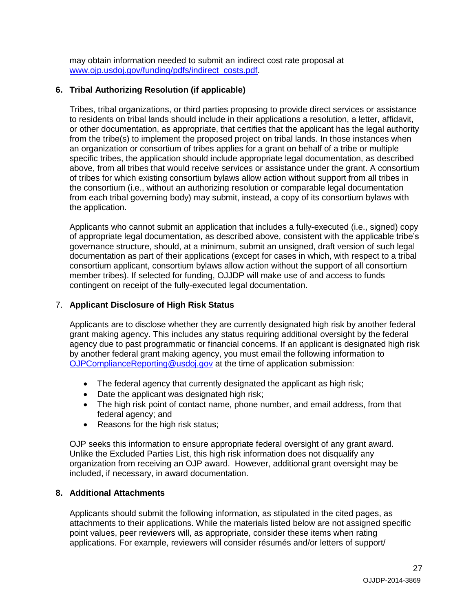may obtain information needed to submit an indirect cost rate proposal at [www.ojp.usdoj.gov/funding/pdfs/indirect\\_costs.pdf.](http://www.ojp.usdoj.gov/funding/pdfs/indirect_costs.pdf)

### <span id="page-26-0"></span>**6. Tribal Authorizing Resolution (if applicable)**

Tribes, tribal organizations, or third parties proposing to provide direct services or assistance to residents on tribal lands should include in their applications a resolution, a letter, affidavit, or other documentation, as appropriate, that certifies that the applicant has the legal authority from the tribe(s) to implement the proposed project on tribal lands. In those instances when an organization or consortium of tribes applies for a grant on behalf of a tribe or multiple specific tribes, the application should include appropriate legal documentation, as described above, from all tribes that would receive services or assistance under the grant. A consortium of tribes for which existing consortium bylaws allow action without support from all tribes in the consortium (i.e., without an authorizing resolution or comparable legal documentation from each tribal governing body) may submit, instead, a copy of its consortium bylaws with the application.

Applicants who cannot submit an application that includes a fully-executed (i.e., signed) copy of appropriate legal documentation, as described above, consistent with the applicable tribe's governance structure, should, at a minimum, submit an unsigned, draft version of such legal documentation as part of their applications (except for cases in which, with respect to a tribal consortium applicant, consortium bylaws allow action without the support of all consortium member tribes). If selected for funding, OJJDP will make use of and access to funds contingent on receipt of the fully-executed legal documentation.

### <span id="page-26-1"></span>7. **Applicant Disclosure of High Risk Status**

Applicants are to disclose whether they are currently designated high risk by another federal grant making agency. This includes any status requiring additional oversight by the federal agency due to past programmatic or financial concerns. If an applicant is designated high risk by another federal grant making agency, you must email the following information to [OJPComplianceReporting@usdoj.gov](mailto:OJPComplianceReporting@usdoj.gov) at the time of application submission:

- The federal agency that currently designated the applicant as high risk;
- Date the applicant was designated high risk;
- The high risk point of contact name, phone number, and email address, from that federal agency; and
- Reasons for the high risk status;

OJP seeks this information to ensure appropriate federal oversight of any grant award. Unlike the Excluded Parties List, this high risk information does not disqualify any organization from receiving an OJP award. However, additional grant oversight may be included, if necessary, in award documentation.

### <span id="page-26-2"></span>**8. Additional Attachments**

Applicants should submit the following information, as stipulated in the cited pages, as attachments to their applications. While the materials listed below are not assigned specific point values, peer reviewers will, as appropriate, consider these items when rating applications. For example, reviewers will consider résumés and/or letters of support/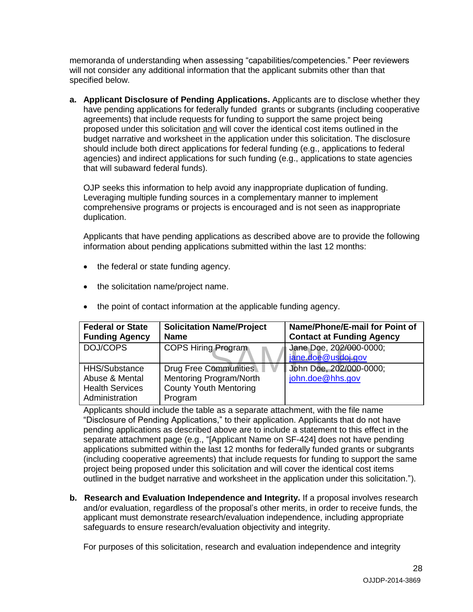memoranda of understanding when assessing "capabilities/competencies." Peer reviewers will not consider any additional information that the applicant submits other than that specified below.

**a. Applicant Disclosure of Pending Applications.** Applicants are to disclose whether they have pending applications for federally funded grants or subgrants (including cooperative agreements) that include requests for funding to support the same project being proposed under this solicitation and will cover the identical cost items outlined in the budget narrative and worksheet in the application under this solicitation. The disclosure should include both direct applications for federal funding (e.g., applications to federal agencies) and indirect applications for such funding (e.g., applications to state agencies that will subaward federal funds).

OJP seeks this information to help avoid any inappropriate duplication of funding. Leveraging multiple funding sources in a complementary manner to implement comprehensive programs or projects is encouraged and is not seen as inappropriate duplication.

Applicants that have pending applications as described above are to provide the following information about pending applications submitted within the last 12 months:

- the federal or state funding agency.
- the solicitation name/project name.

| <b>Federal or State</b> | <b>Solicitation Name/Project</b><br><b>Name</b> | Name/Phone/E-mail for Point of   |
|-------------------------|-------------------------------------------------|----------------------------------|
| <b>Funding Agency</b>   |                                                 | <b>Contact at Funding Agency</b> |
| DOJ/COPS                | <b>COPS Hiring Program</b>                      | Jane Doe, 202/000-0000;          |
|                         |                                                 | jane.doe@usdoj.gov               |
| <b>HHS/Substance</b>    | Drug Free Communities                           | John Doe, 202/000-0000;          |
| Abuse & Mental          | Mentoring Program/North                         | john.doe@hhs.gov                 |
| <b>Health Services</b>  | <b>County Youth Mentoring</b>                   |                                  |
| Administration          | Program                                         |                                  |

• the point of contact information at the applicable funding agency.

Applicants should include the table as a separate attachment, with the file name "Disclosure of Pending Applications," to their application. Applicants that do not have pending applications as described above are to include a statement to this effect in the separate attachment page (e.g., "[Applicant Name on SF-424] does not have pending applications submitted within the last 12 months for federally funded grants or subgrants (including cooperative agreements) that include requests for funding to support the same project being proposed under this solicitation and will cover the identical cost items outlined in the budget narrative and worksheet in the application under this solicitation.").

**b. Research and Evaluation Independence and Integrity.** If a proposal involves research and/or evaluation, regardless of the proposal's other merits, in order to receive funds, the applicant must demonstrate research/evaluation independence, including appropriate safeguards to ensure research/evaluation objectivity and integrity.

For purposes of this solicitation, research and evaluation independence and integrity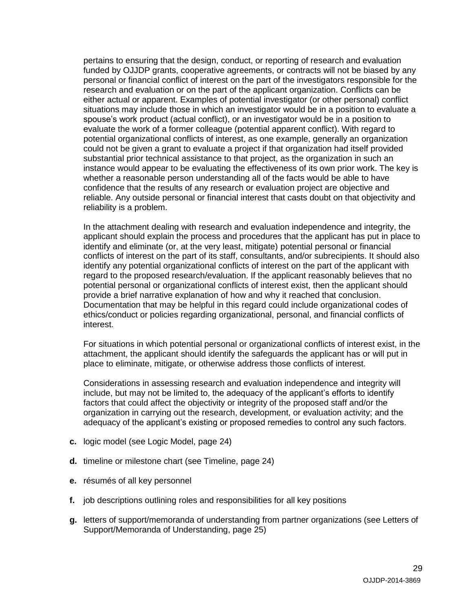pertains to ensuring that the design, conduct, or reporting of research and evaluation funded by OJJDP grants, cooperative agreements, or contracts will not be biased by any personal or financial conflict of interest on the part of the investigators responsible for the research and evaluation or on the part of the applicant organization. Conflicts can be either actual or apparent. Examples of potential investigator (or other personal) conflict situations may include those in which an investigator would be in a position to evaluate a spouse's work product (actual conflict), or an investigator would be in a position to evaluate the work of a former colleague (potential apparent conflict). With regard to potential organizational conflicts of interest, as one example, generally an organization could not be given a grant to evaluate a project if that organization had itself provided substantial prior technical assistance to that project, as the organization in such an instance would appear to be evaluating the effectiveness of its own prior work. The key is whether a reasonable person understanding all of the facts would be able to have confidence that the results of any research or evaluation project are objective and reliable. Any outside personal or financial interest that casts doubt on that objectivity and reliability is a problem.

In the attachment dealing with research and evaluation independence and integrity, the applicant should explain the process and procedures that the applicant has put in place to identify and eliminate (or, at the very least, mitigate) potential personal or financial conflicts of interest on the part of its staff, consultants, and/or subrecipients. It should also identify any potential organizational conflicts of interest on the part of the applicant with regard to the proposed research/evaluation. If the applicant reasonably believes that no potential personal or organizational conflicts of interest exist, then the applicant should provide a brief narrative explanation of how and why it reached that conclusion. Documentation that may be helpful in this regard could include organizational codes of ethics/conduct or policies regarding organizational, personal, and financial conflicts of interest.

For situations in which potential personal or organizational conflicts of interest exist, in the attachment, the applicant should identify the safeguards the applicant has or will put in place to eliminate, mitigate, or otherwise address those conflicts of interest.

Considerations in assessing research and evaluation independence and integrity will include, but may not be limited to, the adequacy of the applicant's efforts to identify factors that could affect the objectivity or integrity of the proposed staff and/or the organization in carrying out the research, development, or evaluation activity; and the adequacy of the applicant's existing or proposed remedies to control any such factors.

- **c.** logic model (see Logic Model, page 24)
- **d.** timeline or milestone chart (see Timeline, page 24)
- **e.** résumés of all key personnel
- **f.** job descriptions outlining roles and responsibilities for all key positions
- **g.** letters of support/memoranda of understanding from partner organizations (see Letters of Support/Memoranda of Understanding, page 25)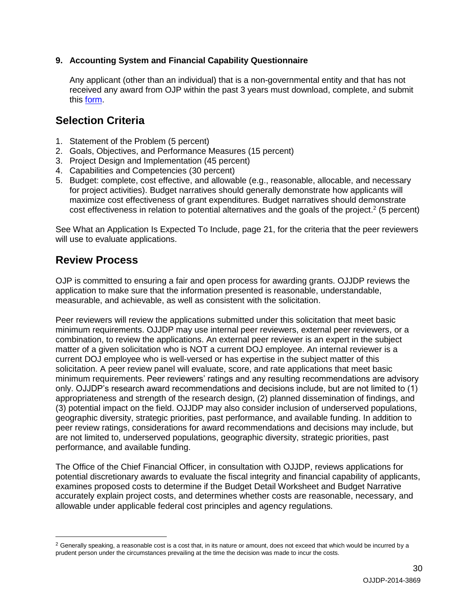### <span id="page-29-0"></span>**9. Accounting System and Financial Capability Questionnaire**

Any applicant (other than an individual) that is a non-governmental entity and that has not received any award from OJP within the past 3 years must download, complete, and submit this [form.](http://www.ojp.usdoj.gov/funding/forms/financial_capability.pdf)

### <span id="page-29-1"></span>**Selection Criteria**

- 1. Statement of the Problem (5 percent)
- 2. Goals, Objectives, and Performance Measures (15 percent)
- 3. Project Design and Implementation (45 percent)
- 4. Capabilities and Competencies (30 percent)
- 5. Budget: complete, cost effective, and allowable (e.g., reasonable, allocable, and necessary for project activities). Budget narratives should generally demonstrate how applicants will maximize cost effectiveness of grant expenditures. Budget narratives should demonstrate cost effectiveness in relation to potential alternatives and the goals of the project.<sup>2</sup> (5 percent)

See What an Application Is Expected To Include, page 21, for the criteria that the peer reviewers will use to evaluate applications.

### <span id="page-29-2"></span>**Review Process**

 $\overline{a}$ 

OJP is committed to ensuring a fair and open process for awarding grants. OJJDP reviews the application to make sure that the information presented is reasonable, understandable, measurable, and achievable, as well as consistent with the solicitation.

Peer reviewers will review the applications submitted under this solicitation that meet basic minimum requirements. OJJDP may use internal peer reviewers, external peer reviewers, or a combination, to review the applications. An external peer reviewer is an expert in the subject matter of a given solicitation who is NOT a current DOJ employee. An internal reviewer is a current DOJ employee who is well-versed or has expertise in the subject matter of this solicitation. A peer review panel will evaluate, score, and rate applications that meet basic minimum requirements. Peer reviewers' ratings and any resulting recommendations are advisory only. OJJDP's research award recommendations and decisions include, but are not limited to (1) appropriateness and strength of the research design, (2) planned dissemination of findings, and (3) potential impact on the field. OJJDP may also consider inclusion of underserved populations, geographic diversity, strategic priorities, past performance, and available funding. In addition to peer review ratings, considerations for award recommendations and decisions may include, but are not limited to, underserved populations, geographic diversity, strategic priorities, past performance, and available funding.

The Office of the Chief Financial Officer, in consultation with OJJDP, reviews applications for potential discretionary awards to evaluate the fiscal integrity and financial capability of applicants, examines proposed costs to determine if the Budget Detail Worksheet and Budget Narrative accurately explain project costs, and determines whether costs are reasonable, necessary, and allowable under applicable federal cost principles and agency regulations.

 $2$  Generally speaking, a reasonable cost is a cost that, in its nature or amount, does not exceed that which would be incurred by a prudent person under the circumstances prevailing at the time the decision was made to incur the costs.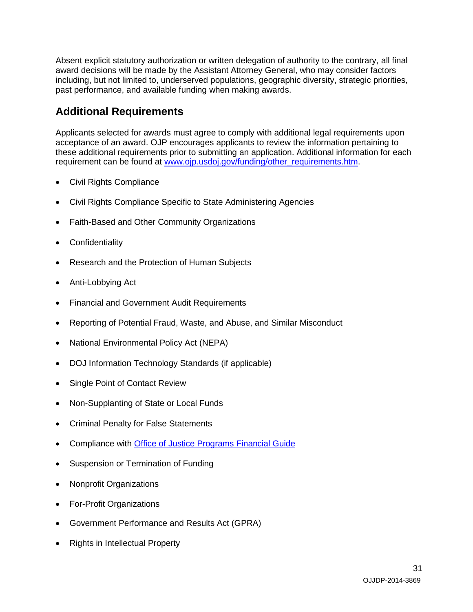Absent explicit statutory authorization or written delegation of authority to the contrary, all final award decisions will be made by the Assistant Attorney General, who may consider factors including, but not limited to, underserved populations, geographic diversity, strategic priorities, past performance, and available funding when making awards.

# <span id="page-30-0"></span>**Additional Requirements**

Applicants selected for awards must agree to comply with additional legal requirements upon acceptance of an award. OJP encourages applicants to review the information pertaining to these additional requirements prior to submitting an application. Additional information for each requirement can be found at [www.ojp.usdoj.gov/funding/other\\_requirements.htm.](http://www.ojp.usdoj.gov/funding/other_requirements.htm)

- [Civil Rights Compliance](http://www.ojp.usdoj.gov/about/ocr/statutes.htm)
- Civil Rights Compliance Specific to State Administering Agencies
- Faith-Based and Other Community Organizations
- **Confidentiality**
- Research and the Protection of Human Subjects
- Anti-Lobbying Act
- Financial and Government Audit Requirements
- Reporting of Potential Fraud, Waste, and Abuse, and Similar Misconduct
- National Environmental Policy Act (NEPA)
- DOJ Information Technology Standards (if applicable)
- Single Point of Contact Review
- Non-Supplanting of State or Local Funds
- Criminal Penalty for False Statements
- Compliance with [Office of Justice Programs Financial Guide](http://www.ojp.usdoj.gov/financialguide/index.htm)
- Suspension or Termination of Funding
- Nonprofit Organizations
- For-Profit Organizations
- Government Performance and Results Act (GPRA)
- Rights in Intellectual Property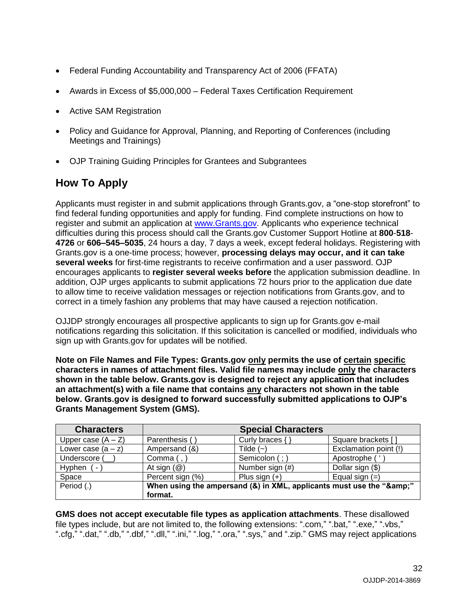- Federal Funding Accountability and Transparency Act of 2006 (FFATA)
- Awards in Excess of \$5,000,000 Federal Taxes Certification Requirement
- Active SAM Registration
- Policy and Guidance for Approval, Planning, and Reporting of Conferences (including Meetings and Trainings)
- OJP Training Guiding Principles for Grantees and Subgrantees

# <span id="page-31-0"></span>**How To Apply**

Applicants must register in and submit applications through Grants.gov, a "one-stop storefront" to find federal funding opportunities and apply for funding. Find complete instructions on how to register and submit an application at [www.Grants.gov.](http://www.grants.gov/) Applicants who experience technical difficulties during this process should call the Grants.gov Customer Support Hotline at **800**-**518**- **4726** or **606–545–5035**, 24 hours a day, 7 days a week, except federal holidays. Registering with Grants.gov is a one-time process; however, **processing delays may occur, and it can take several weeks** for first-time registrants to receive confirmation and a user password. OJP encourages applicants to **register several weeks before** the application submission deadline. In addition, OJP urges applicants to submit applications 72 hours prior to the application due date to allow time to receive validation messages or rejection notifications from Grants.gov, and to correct in a timely fashion any problems that may have caused a rejection notification.

OJJDP strongly encourages all prospective applicants to sign up for Grants.gov e-mail notifications regarding this solicitation. If this solicitation is cancelled or modified, individuals who sign up with Grants.gov for updates will be notified.

**Note on File Names and File Types: Grants.gov only permits the use of certain specific characters in names of attachment files. Valid file names may include only the characters shown in the table below. Grants.gov is designed to reject any application that includes an attachment(s) with a file name that contains any characters not shown in the table below. Grants.gov is designed to forward successfully submitted applications to OJP's Grants Management System (GMS).**

| <b>Characters</b>        |                                                                  | <b>Special Characters</b> |                       |
|--------------------------|------------------------------------------------------------------|---------------------------|-----------------------|
| Upper case $(A - Z)$     | Parenthesis (                                                    | Curly braces {            | Square brackets [     |
| Lower case $(a - z)$     | Ampersand (&)                                                    | Tilde $(-)$               | Exclamation point (!) |
| Underscore (             | Comma $($ , $)$                                                  | Semicolon (; )            | Apostrophe ('         |
| Hyphen<br><sub>(</sub> – | At sign $(\mathcal{Q})$                                          | Number sign (#)           | Dollar sign (\$)      |
| Space                    | Percent sign (%)                                                 | Plus sign $(+)$           | Equal sign $(=)$      |
| Period (.)               | When using the ampersand (&) in XML, applicants must use the "&" |                           |                       |
|                          | format.                                                          |                           |                       |

**GMS does not accept executable file types as application attachments**. These disallowed file types include, but are not limited to, the following extensions: ".com," ".bat," ".exe," ".vbs," ".cfg," ".dat," ".db," ".dbf," ".dll," ".ini," ".log," ".ora," ".sys," and ".zip." GMS may reject applications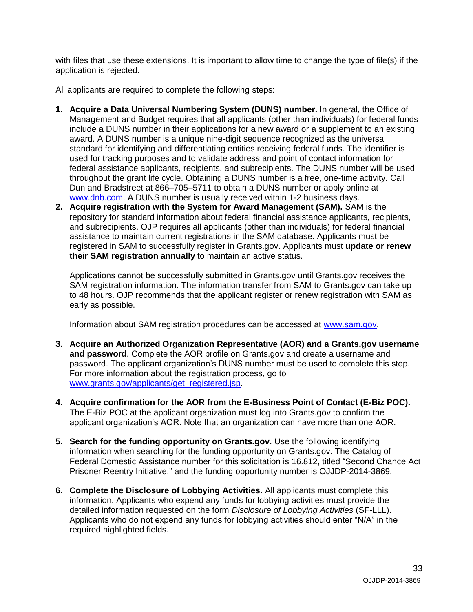with files that use these extensions. It is important to allow time to change the type of file(s) if the application is rejected.

All applicants are required to complete the following steps:

- **1. Acquire a Data Universal Numbering System (DUNS) number.** In general, the Office of Management and Budget requires that all applicants (other than individuals) for federal funds include a DUNS number in their applications for a new award or a supplement to an existing award. A DUNS number is a unique nine-digit sequence recognized as the universal standard for identifying and differentiating entities receiving federal funds. The identifier is used for tracking purposes and to validate address and point of contact information for federal assistance applicants, recipients, and subrecipients. The DUNS number will be used throughout the grant life cycle. Obtaining a DUNS number is a free, one-time activity. Call Dun and Bradstreet at 866–705–5711 to obtain a DUNS number or apply online at [www.dnb.com.](http://www.dnb.com/) A DUNS number is usually received within 1-2 business days.
- **2. Acquire registration with the System for Award Management (SAM).** SAM is the repository for standard information about federal financial assistance applicants, recipients, and subrecipients. OJP requires all applicants (other than individuals) for federal financial assistance to maintain current registrations in the SAM database. Applicants must be registered in SAM to successfully register in Grants.gov. Applicants must **update or renew their SAM registration annually** to maintain an active status.

Applications cannot be successfully submitted in Grants.gov until Grants.gov receives the SAM registration information. The information transfer from SAM to Grants.gov can take up to 48 hours. OJP recommends that the applicant register or renew registration with SAM as early as possible.

Information about SAM registration procedures can be accessed at [www.sam.gov.](https://www.sam.gov/portal/public/SAM/?portal:componentId=1f834b82-3fed-4eb3-a1f8-ea1f226a7955&portal:type=action&interactionstate=JBPNS_rO0ABXc0ABBfanNmQnJpZGdlVmlld0lkAAAAAQATL2pzZi9uYXZpZ2F0aW9uLmpzcAAHX19FT0ZfXw**)

- **3. Acquire an Authorized Organization Representative (AOR) and a Grants.gov username and password**. Complete the AOR profile on Grants.gov and create a username and password. The applicant organization's DUNS number must be used to complete this step. For more information about the registration process, go to [www.grants.gov/applicants/get\\_registered.jsp.](http://www.grants.gov/applicants/get_registered.jsp)
- **4. Acquire confirmation for the AOR from the E-Business Point of Contact (E-Biz POC).**  The E-Biz POC at the applicant organization must log into Grants.gov to confirm the applicant organization's AOR. Note that an organization can have more than one AOR.
- **5. Search for the funding opportunity on Grants.gov.** Use the following identifying information when searching for the funding opportunity on Grants.gov. The Catalog of Federal Domestic Assistance number for this solicitation is 16.812, titled "Second Chance Act Prisoner Reentry Initiative," and the funding opportunity number is OJJDP-2014-3869.
- **6. Complete the Disclosure of Lobbying Activities.** All applicants must complete this information. Applicants who expend any funds for lobbying activities must provide the detailed information requested on the form *Disclosure of Lobbying Activities* (SF-LLL). Applicants who do not expend any funds for lobbying activities should enter "N/A" in the required highlighted fields.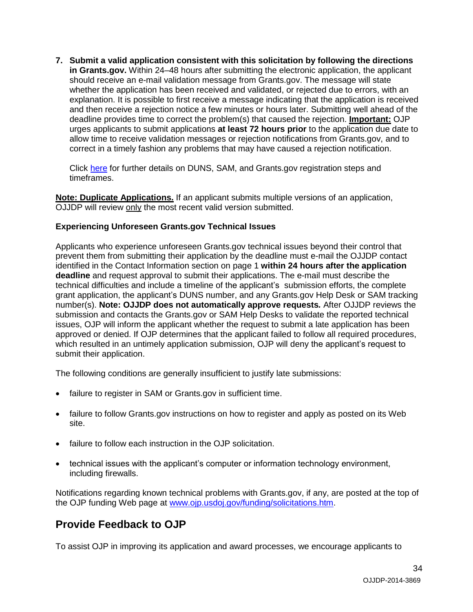**7. Submit a valid application consistent with this solicitation by following the directions in Grants.gov.** Within 24–48 hours after submitting the electronic application, the applicant should receive an e-mail validation message from Grants.gov. The message will state whether the application has been received and validated, or rejected due to errors, with an explanation. It is possible to first receive a message indicating that the application is received and then receive a rejection notice a few minutes or hours later. Submitting well ahead of the deadline provides time to correct the problem(s) that caused the rejection. **Important:** OJP urges applicants to submit applications **at least 72 hours prior** to the application due date to allow time to receive validation messages or rejection notifications from Grants.gov, and to correct in a timely fashion any problems that may have caused a rejection notification.

Click [here](http://www.grants.gov/web/grants/applicants/organization-registration.html) for further details on DUNS, SAM, and Grants.gov registration steps and timeframes.

**Note: Duplicate Applications.** If an applicant submits multiple versions of an application, OJJDP will review only the most recent valid version submitted.

### **Experiencing Unforeseen Grants.gov Technical Issues**

Applicants who experience unforeseen Grants.gov technical issues beyond their control that prevent them from submitting their application by the deadline must e-mail the OJJDP contact identified in the Contact Information section on page 1 **within 24 hours after the application deadline** and request approval to submit their applications. The e-mail must describe the technical difficulties and include a timeline of the applicant's submission efforts, the complete grant application, the applicant's DUNS number, and any Grants.gov Help Desk or SAM tracking number(s). **Note: OJJDP does not automatically approve requests***.* After OJJDP reviews the submission and contacts the Grants.gov or SAM Help Desks to validate the reported technical issues, OJP will inform the applicant whether the request to submit a late application has been approved or denied. If OJP determines that the applicant failed to follow all required procedures, which resulted in an untimely application submission, OJP will deny the applicant's request to submit their application.

The following conditions are generally insufficient to justify late submissions:

- failure to register in SAM or Grants.gov in sufficient time.
- failure to follow Grants.gov instructions on how to register and apply as posted on its Web site.
- failure to follow each instruction in the OJP solicitation.
- technical issues with the applicant's computer or information technology environment, including firewalls.

Notifications regarding known technical problems with Grants.gov, if any, are posted at the top of the OJP funding Web page at [www.ojp.usdoj.gov/funding/solicitations.htm.](http://www.ojp.gov/funding/solicitations.htm)

### <span id="page-33-0"></span>**Provide Feedback to OJP**

To assist OJP in improving its application and award processes, we encourage applicants to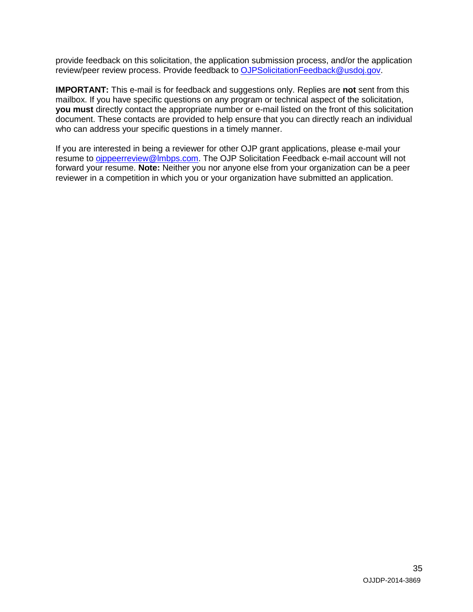provide feedback on this solicitation, the application submission process, and/or the application review/peer review process. Provide feedback to [OJPSolicitationFeedback@usdoj.gov.](mailto:OJPSolicitationFeedback@usdoj.gov)

**IMPORTANT:** This e-mail is for feedback and suggestions only. Replies are **not** sent from this mailbox. If you have specific questions on any program or technical aspect of the solicitation, **you must** directly contact the appropriate number or e-mail listed on the front of this solicitation document. These contacts are provided to help ensure that you can directly reach an individual who can address your specific questions in a timely manner.

If you are interested in being a reviewer for other OJP grant applications, please e-mail your resume to [ojppeerreview@lmbps.com.](mailto:ojppeerreview@lmbps.com) The OJP Solicitation Feedback e-mail account will not forward your resume. **Note:** Neither you nor anyone else from your organization can be a peer reviewer in a competition in which you or your organization have submitted an application.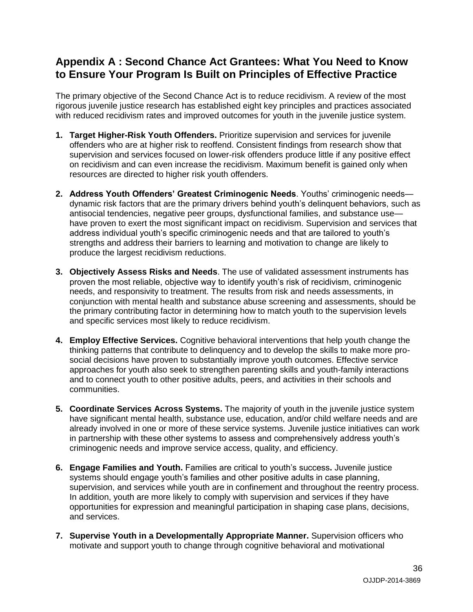### <span id="page-35-0"></span>**Appendix A : Second Chance Act Grantees: What You Need to Know to Ensure Your Program Is Built on Principles of Effective Practice**

The primary objective of the Second Chance Act is to reduce recidivism. A review of the most rigorous juvenile justice research has established eight key principles and practices associated with reduced recidivism rates and improved outcomes for youth in the juvenile justice system.

- **1. Target Higher-Risk Youth Offenders.** Prioritize supervision and services for juvenile offenders who are at higher risk to reoffend. Consistent findings from research show that supervision and services focused on lower-risk offenders produce little if any positive effect on recidivism and can even increase the recidivism. Maximum benefit is gained only when resources are directed to higher risk youth offenders.
- **2. Address Youth Offenders' Greatest Criminogenic Needs**. Youths' criminogenic needs dynamic risk factors that are the primary drivers behind youth's delinquent behaviors, such as antisocial tendencies, negative peer groups, dysfunctional families, and substance use have proven to exert the most significant impact on recidivism. Supervision and services that address individual youth's specific criminogenic needs and that are tailored to youth's strengths and address their barriers to learning and motivation to change are likely to produce the largest recidivism reductions.
- **3. Objectively Assess Risks and Needs**. The use of validated assessment instruments has proven the most reliable, objective way to identify youth's risk of recidivism, criminogenic needs, and responsivity to treatment. The results from risk and needs assessments, in conjunction with mental health and substance abuse screening and assessments, should be the primary contributing factor in determining how to match youth to the supervision levels and specific services most likely to reduce recidivism.
- **4. Employ Effective Services.** Cognitive behavioral interventions that help youth change the thinking patterns that contribute to delinquency and to develop the skills to make more prosocial decisions have proven to substantially improve youth outcomes. Effective service approaches for youth also seek to strengthen parenting skills and youth-family interactions and to connect youth to other positive adults, peers, and activities in their schools and communities.
- **5. Coordinate Services Across Systems.** The majority of youth in the juvenile justice system have significant mental health, substance use, education, and/or child welfare needs and are already involved in one or more of these service systems. Juvenile justice initiatives can work in partnership with these other systems to assess and comprehensively address youth's criminogenic needs and improve service access, quality, and efficiency.
- **6. Engage Families and Youth.** Families are critical to youth's success**.** Juvenile justice systems should engage youth's families and other positive adults in case planning, supervision, and services while youth are in confinement and throughout the reentry process. In addition, youth are more likely to comply with supervision and services if they have opportunities for expression and meaningful participation in shaping case plans, decisions, and services.
- **7. Supervise Youth in a Developmentally Appropriate Manner.** Supervision officers who motivate and support youth to change through cognitive behavioral and motivational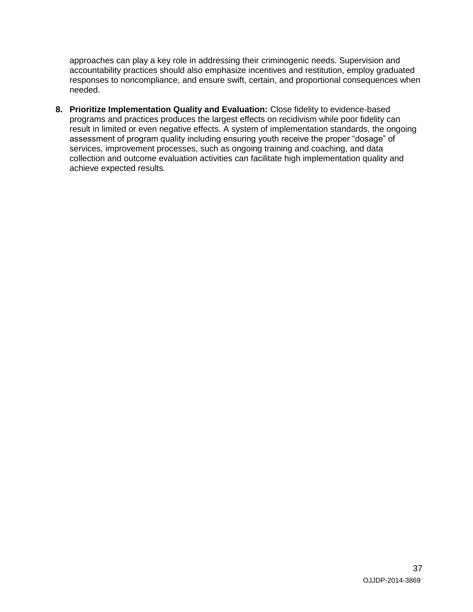approaches can play a key role in addressing their criminogenic needs. Supervision and accountability practices should also emphasize incentives and restitution, employ graduated responses to noncompliance, and ensure swift, certain, and proportional consequences when needed.

**8. Prioritize Implementation Quality and Evaluation:** Close fidelity to evidence-based programs and practices produces the largest effects on recidivism while poor fidelity can result in limited or even negative effects. A system of implementation standards, the ongoing assessment of program quality including ensuring youth receive the proper "dosage" of services, improvement processes, such as ongoing training and coaching, and data collection and outcome evaluation activities can facilitate high implementation quality and achieve expected results.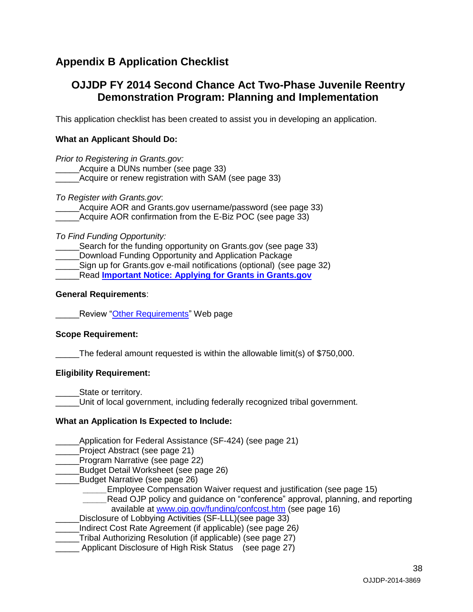# <span id="page-37-0"></span>**Appendix B Application Checklist**

### **OJJDP FY 2014 Second Chance Act Two-Phase Juvenile Reentry Demonstration Program: Planning and Implementation**

This application checklist has been created to assist you in developing an application.

### **What an Applicant Should Do:**

*Prior to Registering in Grants.gov:* Acquire a DUNs number (see page 33) \_Acquire or renew registration with SAM (see page 33)

*To Register with Grants.gov*:

Acquire AOR and Grants.gov username/password (see page 33) Acquire AOR confirmation from the E-Biz POC (see page 33)

*To Find Funding Opportunity:*

Search for the funding opportunity on Grants.gov (see page 33) Download Funding Opportunity and Application Package Sign up for Grants.gov e-mail notifications (optional) (see page 32) \_\_\_\_\_Read **[Important Notice: Applying for Grants in Grants.gov](http://www.ojp.usdoj.gov/funding/grantsgov_information.htm)**

### **General Requirements**:

**Example 2** Review ["Other Requirements"](http://www.ojp.usdoj.gov/funding/other_requirements.htm) Web page

### **Scope Requirement:**

The federal amount requested is within the allowable limit(s) of \$750,000.

### **Eligibility Requirement:**

State or territory.

Unit of local government, including federally recognized tribal government.

### **What an Application Is Expected to Include:**

\_\_\_\_\_Application for Federal Assistance (SF-424) (see page 21)

Project Abstract (see page 21)

\_\_\_\_\_Program Narrative (see page 22)

\_\_\_\_\_Budget Detail Worksheet (see page 26)

- Budget Narrative (see page 26)
	- Employee Compensation Waiver request and justification (see page 15)

Read OJP policy and guidance on "conference" approval, planning, and reporting available at [www.ojp.gov/funding/confcost.htm](http://www.ojp.gov/funding/confcost.htm) (see page 16)

Disclosure of Lobbying Activities (SF-LLL)(see page 33)

- \_\_\_\_\_Indirect Cost Rate Agreement (if applicable) (see page 26*)*
- \_\_\_\_\_Tribal Authorizing Resolution (if applicable) (see page 27)

Applicant Disclosure of High Risk Status (see page 27)